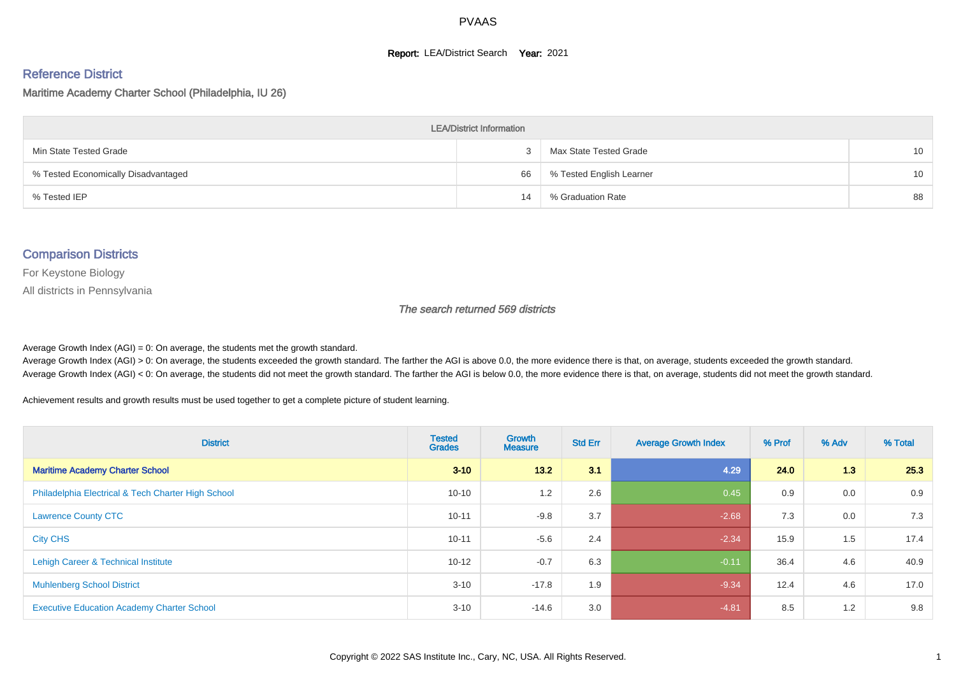#### **Report: LEA/District Search Year: 2021**

#### Reference District

#### Maritime Academy Charter School (Philadelphia, IU 26)

| <b>LEA/District Information</b>     |    |                          |    |  |  |  |  |  |  |  |
|-------------------------------------|----|--------------------------|----|--|--|--|--|--|--|--|
| Min State Tested Grade              |    | Max State Tested Grade   | 10 |  |  |  |  |  |  |  |
| % Tested Economically Disadvantaged | 66 | % Tested English Learner | 10 |  |  |  |  |  |  |  |
| % Tested IEP                        | 14 | % Graduation Rate        | 88 |  |  |  |  |  |  |  |

#### Comparison Districts

For Keystone Biology

All districts in Pennsylvania

The search returned 569 districts

Average Growth Index  $(AGI) = 0$ : On average, the students met the growth standard.

Average Growth Index (AGI) > 0: On average, the students exceeded the growth standard. The farther the AGI is above 0.0, the more evidence there is that, on average, students exceeded the growth standard. Average Growth Index (AGI) < 0: On average, the students did not meet the growth standard. The farther the AGI is below 0.0, the more evidence there is that, on average, students did not meet the growth standard.

Achievement results and growth results must be used together to get a complete picture of student learning.

| <b>District</b>                                    | <b>Tested</b><br><b>Grades</b> | Growth<br><b>Measure</b> | <b>Std Err</b> | <b>Average Growth Index</b> | % Prof | % Adv | % Total |
|----------------------------------------------------|--------------------------------|--------------------------|----------------|-----------------------------|--------|-------|---------|
| <b>Maritime Academy Charter School</b>             | $3 - 10$                       | $13.2$                   | 3.1            | 4.29                        | 24.0   | 1.3   | 25.3    |
| Philadelphia Electrical & Tech Charter High School | $10 - 10$                      | 1.2                      | 2.6            | 0.45                        | 0.9    | 0.0   | 0.9     |
| <b>Lawrence County CTC</b>                         | $10 - 11$                      | $-9.8$                   | 3.7            | $-2.68$                     | 7.3    | 0.0   | 7.3     |
| <b>City CHS</b>                                    | $10 - 11$                      | $-5.6$                   | 2.4            | $-2.34$                     | 15.9   | 1.5   | 17.4    |
| Lehigh Career & Technical Institute                | $10 - 12$                      | $-0.7$                   | 6.3            | $-0.11$                     | 36.4   | 4.6   | 40.9    |
| <b>Muhlenberg School District</b>                  | $3 - 10$                       | $-17.8$                  | 1.9            | $-9.34$                     | 12.4   | 4.6   | 17.0    |
| <b>Executive Education Academy Charter School</b>  | $3 - 10$                       | $-14.6$                  | 3.0            | $-4.81$                     | 8.5    | 1.2   | 9.8     |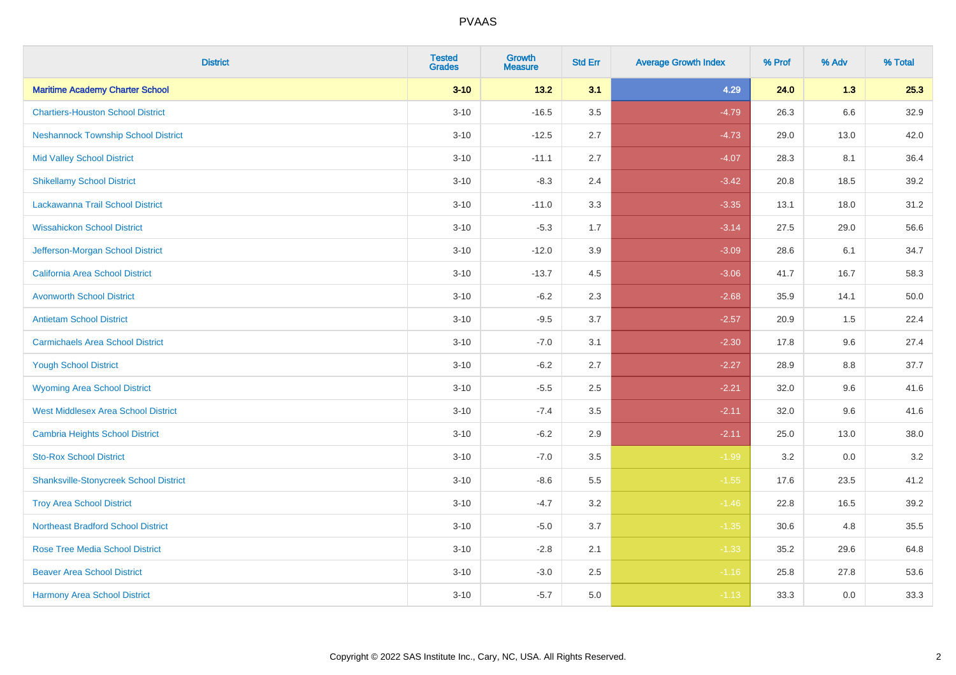| <b>District</b>                               | <b>Tested</b><br><b>Grades</b> | <b>Growth</b><br><b>Measure</b> | <b>Std Err</b> | <b>Average Growth Index</b> | % Prof | % Adv   | % Total |
|-----------------------------------------------|--------------------------------|---------------------------------|----------------|-----------------------------|--------|---------|---------|
| <b>Maritime Academy Charter School</b>        | $3 - 10$                       | 13.2                            | 3.1            | 4.29                        | 24.0   | 1.3     | 25.3    |
| <b>Chartiers-Houston School District</b>      | $3 - 10$                       | $-16.5$                         | 3.5            | $-4.79$                     | 26.3   | $6.6\,$ | 32.9    |
| <b>Neshannock Township School District</b>    | $3 - 10$                       | $-12.5$                         | 2.7            | $-4.73$                     | 29.0   | 13.0    | 42.0    |
| <b>Mid Valley School District</b>             | $3 - 10$                       | $-11.1$                         | 2.7            | $-4.07$                     | 28.3   | 8.1     | 36.4    |
| <b>Shikellamy School District</b>             | $3 - 10$                       | $-8.3$                          | 2.4            | $-3.42$                     | 20.8   | 18.5    | 39.2    |
| Lackawanna Trail School District              | $3 - 10$                       | $-11.0$                         | 3.3            | $-3.35$                     | 13.1   | 18.0    | 31.2    |
| <b>Wissahickon School District</b>            | $3 - 10$                       | $-5.3$                          | 1.7            | $-3.14$                     | 27.5   | 29.0    | 56.6    |
| Jefferson-Morgan School District              | $3 - 10$                       | $-12.0$                         | 3.9            | $-3.09$                     | 28.6   | 6.1     | 34.7    |
| California Area School District               | $3 - 10$                       | $-13.7$                         | 4.5            | $-3.06$                     | 41.7   | 16.7    | 58.3    |
| <b>Avonworth School District</b>              | $3 - 10$                       | $-6.2$                          | 2.3            | $-2.68$                     | 35.9   | 14.1    | 50.0    |
| <b>Antietam School District</b>               | $3 - 10$                       | $-9.5$                          | 3.7            | $-2.57$                     | 20.9   | 1.5     | 22.4    |
| <b>Carmichaels Area School District</b>       | $3 - 10$                       | $-7.0$                          | 3.1            | $-2.30$                     | 17.8   | 9.6     | 27.4    |
| <b>Yough School District</b>                  | $3 - 10$                       | $-6.2$                          | 2.7            | $-2.27$                     | 28.9   | $8.8\,$ | 37.7    |
| <b>Wyoming Area School District</b>           | $3 - 10$                       | $-5.5$                          | 2.5            | $-2.21$                     | 32.0   | 9.6     | 41.6    |
| <b>West Middlesex Area School District</b>    | $3 - 10$                       | $-7.4$                          | 3.5            | $-2.11$                     | 32.0   | 9.6     | 41.6    |
| <b>Cambria Heights School District</b>        | $3 - 10$                       | $-6.2$                          | 2.9            | $-2.11$                     | 25.0   | 13.0    | 38.0    |
| <b>Sto-Rox School District</b>                | $3 - 10$                       | $-7.0$                          | 3.5            | $-1.99$                     | 3.2    | 0.0     | 3.2     |
| <b>Shanksville-Stonycreek School District</b> | $3 - 10$                       | $-8.6$                          | 5.5            | $-1.55$                     | 17.6   | 23.5    | 41.2    |
| <b>Troy Area School District</b>              | $3 - 10$                       | $-4.7$                          | 3.2            | $-1.46$                     | 22.8   | 16.5    | 39.2    |
| <b>Northeast Bradford School District</b>     | $3 - 10$                       | $-5.0$                          | 3.7            | $-1.35$                     | 30.6   | 4.8     | 35.5    |
| <b>Rose Tree Media School District</b>        | $3 - 10$                       | $-2.8$                          | 2.1            | $-1.33$                     | 35.2   | 29.6    | 64.8    |
| <b>Beaver Area School District</b>            | $3 - 10$                       | $-3.0$                          | 2.5            | $-1.16$                     | 25.8   | 27.8    | 53.6    |
| <b>Harmony Area School District</b>           | $3 - 10$                       | $-5.7$                          | 5.0            | $-1.13$                     | 33.3   | 0.0     | 33.3    |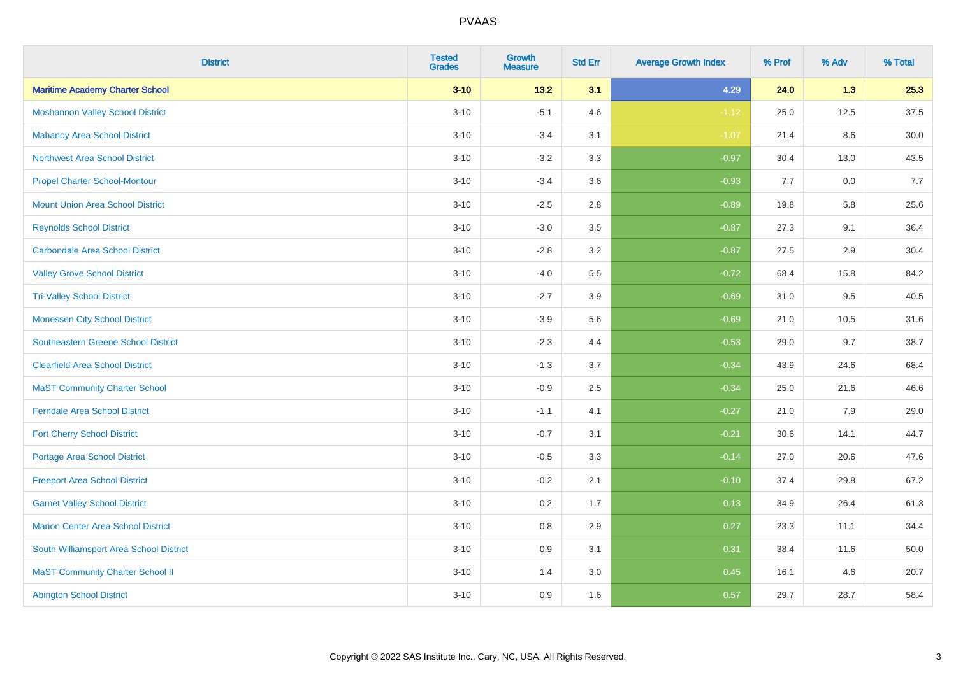| <b>District</b>                            | <b>Tested</b><br><b>Grades</b> | <b>Growth</b><br><b>Measure</b> | <b>Std Err</b> | <b>Average Growth Index</b> | % Prof | % Adv | % Total  |
|--------------------------------------------|--------------------------------|---------------------------------|----------------|-----------------------------|--------|-------|----------|
| <b>Maritime Academy Charter School</b>     | $3 - 10$                       | 13.2                            | 3.1            | 4.29                        | 24.0   | 1.3   | 25.3     |
| <b>Moshannon Valley School District</b>    | $3 - 10$                       | $-5.1$                          | 4.6            | $-1.12$                     | 25.0   | 12.5  | 37.5     |
| <b>Mahanoy Area School District</b>        | $3 - 10$                       | $-3.4$                          | 3.1            | $-1.07$                     | 21.4   | 8.6   | $30.0\,$ |
| Northwest Area School District             | $3 - 10$                       | $-3.2$                          | 3.3            | $-0.97$                     | 30.4   | 13.0  | 43.5     |
| <b>Propel Charter School-Montour</b>       | $3 - 10$                       | $-3.4$                          | 3.6            | $-0.93$                     | 7.7    | 0.0   | 7.7      |
| <b>Mount Union Area School District</b>    | $3 - 10$                       | $-2.5$                          | 2.8            | $-0.89$                     | 19.8   | 5.8   | 25.6     |
| <b>Reynolds School District</b>            | $3 - 10$                       | $-3.0$                          | 3.5            | $-0.87$                     | 27.3   | 9.1   | 36.4     |
| <b>Carbondale Area School District</b>     | $3 - 10$                       | $-2.8$                          | 3.2            | $-0.87$                     | 27.5   | 2.9   | 30.4     |
| <b>Valley Grove School District</b>        | $3 - 10$                       | $-4.0$                          | 5.5            | $-0.72$                     | 68.4   | 15.8  | 84.2     |
| <b>Tri-Valley School District</b>          | $3 - 10$                       | $-2.7$                          | 3.9            | $-0.69$                     | 31.0   | 9.5   | 40.5     |
| <b>Monessen City School District</b>       | $3 - 10$                       | $-3.9$                          | 5.6            | $-0.69$                     | 21.0   | 10.5  | 31.6     |
| <b>Southeastern Greene School District</b> | $3 - 10$                       | $-2.3$                          | 4.4            | $-0.53$                     | 29.0   | 9.7   | 38.7     |
| <b>Clearfield Area School District</b>     | $3 - 10$                       | $-1.3$                          | 3.7            | $-0.34$                     | 43.9   | 24.6  | 68.4     |
| <b>MaST Community Charter School</b>       | $3 - 10$                       | $-0.9$                          | 2.5            | $-0.34$                     | 25.0   | 21.6  | 46.6     |
| <b>Ferndale Area School District</b>       | $3 - 10$                       | $-1.1$                          | 4.1            | $-0.27$                     | 21.0   | 7.9   | 29.0     |
| <b>Fort Cherry School District</b>         | $3 - 10$                       | $-0.7$                          | 3.1            | $-0.21$                     | 30.6   | 14.1  | 44.7     |
| Portage Area School District               | $3 - 10$                       | $-0.5$                          | 3.3            | $-0.14$                     | 27.0   | 20.6  | 47.6     |
| <b>Freeport Area School District</b>       | $3 - 10$                       | $-0.2$                          | 2.1            | $-0.10$                     | 37.4   | 29.8  | 67.2     |
| <b>Garnet Valley School District</b>       | $3 - 10$                       | 0.2                             | 1.7            | 0.13                        | 34.9   | 26.4  | 61.3     |
| <b>Marion Center Area School District</b>  | $3 - 10$                       | 0.8                             | 2.9            | 0.27                        | 23.3   | 11.1  | 34.4     |
| South Williamsport Area School District    | $3 - 10$                       | 0.9                             | 3.1            | 0.31                        | 38.4   | 11.6  | 50.0     |
| <b>MaST Community Charter School II</b>    | $3 - 10$                       | 1.4                             | 3.0            | 0.45                        | 16.1   | 4.6   | 20.7     |
| <b>Abington School District</b>            | $3 - 10$                       | 0.9                             | 1.6            | 0.57                        | 29.7   | 28.7  | 58.4     |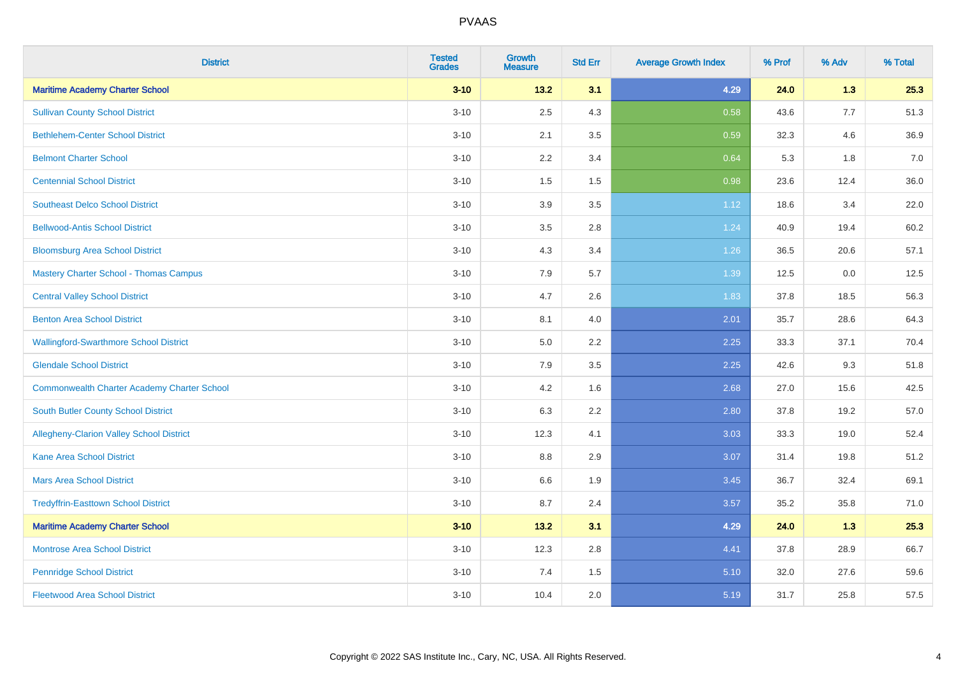| <b>District</b>                               | <b>Tested</b><br><b>Grades</b> | <b>Growth</b><br><b>Measure</b> | <b>Std Err</b> | <b>Average Growth Index</b> | % Prof | % Adv | % Total |
|-----------------------------------------------|--------------------------------|---------------------------------|----------------|-----------------------------|--------|-------|---------|
| <b>Maritime Academy Charter School</b>        | $3 - 10$                       | 13.2                            | 3.1            | 4.29                        | 24.0   | 1.3   | 25.3    |
| <b>Sullivan County School District</b>        | $3 - 10$                       | 2.5                             | 4.3            | 0.58                        | 43.6   | 7.7   | 51.3    |
| <b>Bethlehem-Center School District</b>       | $3 - 10$                       | 2.1                             | 3.5            | 0.59                        | 32.3   | 4.6   | 36.9    |
| <b>Belmont Charter School</b>                 | $3 - 10$                       | 2.2                             | 3.4            | 0.64                        | 5.3    | 1.8   | 7.0     |
| <b>Centennial School District</b>             | $3 - 10$                       | 1.5                             | 1.5            | 0.98                        | 23.6   | 12.4  | 36.0    |
| <b>Southeast Delco School District</b>        | $3 - 10$                       | 3.9                             | 3.5            | 1.12                        | 18.6   | 3.4   | 22.0    |
| <b>Bellwood-Antis School District</b>         | $3 - 10$                       | 3.5                             | 2.8            | 1.24                        | 40.9   | 19.4  | 60.2    |
| <b>Bloomsburg Area School District</b>        | $3 - 10$                       | 4.3                             | 3.4            | 1.26                        | 36.5   | 20.6  | 57.1    |
| <b>Mastery Charter School - Thomas Campus</b> | $3 - 10$                       | 7.9                             | 5.7            | 1.39                        | 12.5   | 0.0   | 12.5    |
| <b>Central Valley School District</b>         | $3 - 10$                       | 4.7                             | 2.6            | 1.83                        | 37.8   | 18.5  | 56.3    |
| <b>Benton Area School District</b>            | $3 - 10$                       | 8.1                             | 4.0            | 2.01                        | 35.7   | 28.6  | 64.3    |
| <b>Wallingford-Swarthmore School District</b> | $3 - 10$                       | $5.0\,$                         | 2.2            | 2.25                        | 33.3   | 37.1  | 70.4    |
| <b>Glendale School District</b>               | $3 - 10$                       | 7.9                             | 3.5            | 2.25                        | 42.6   | 9.3   | 51.8    |
| Commonwealth Charter Academy Charter School   | $3 - 10$                       | 4.2                             | 1.6            | 2.68                        | 27.0   | 15.6  | 42.5    |
| South Butler County School District           | $3 - 10$                       | 6.3                             | 2.2            | 2.80                        | 37.8   | 19.2  | 57.0    |
| Allegheny-Clarion Valley School District      | $3 - 10$                       | 12.3                            | 4.1            | 3.03                        | 33.3   | 19.0  | 52.4    |
| <b>Kane Area School District</b>              | $3 - 10$                       | 8.8                             | 2.9            | 3.07                        | 31.4   | 19.8  | 51.2    |
| <b>Mars Area School District</b>              | $3 - 10$                       | 6.6                             | 1.9            | 3.45                        | 36.7   | 32.4  | 69.1    |
| <b>Tredyffrin-Easttown School District</b>    | $3 - 10$                       | 8.7                             | 2.4            | 3.57                        | 35.2   | 35.8  | 71.0    |
| <b>Maritime Academy Charter School</b>        | $3 - 10$                       | 13.2                            | 3.1            | 4.29                        | 24.0   | 1.3   | 25.3    |
| <b>Montrose Area School District</b>          | $3 - 10$                       | 12.3                            | 2.8            | 4.41                        | 37.8   | 28.9  | 66.7    |
| <b>Pennridge School District</b>              | $3 - 10$                       | 7.4                             | 1.5            | 5.10                        | 32.0   | 27.6  | 59.6    |
| <b>Fleetwood Area School District</b>         | $3 - 10$                       | 10.4                            | 2.0            | 5.19                        | 31.7   | 25.8  | 57.5    |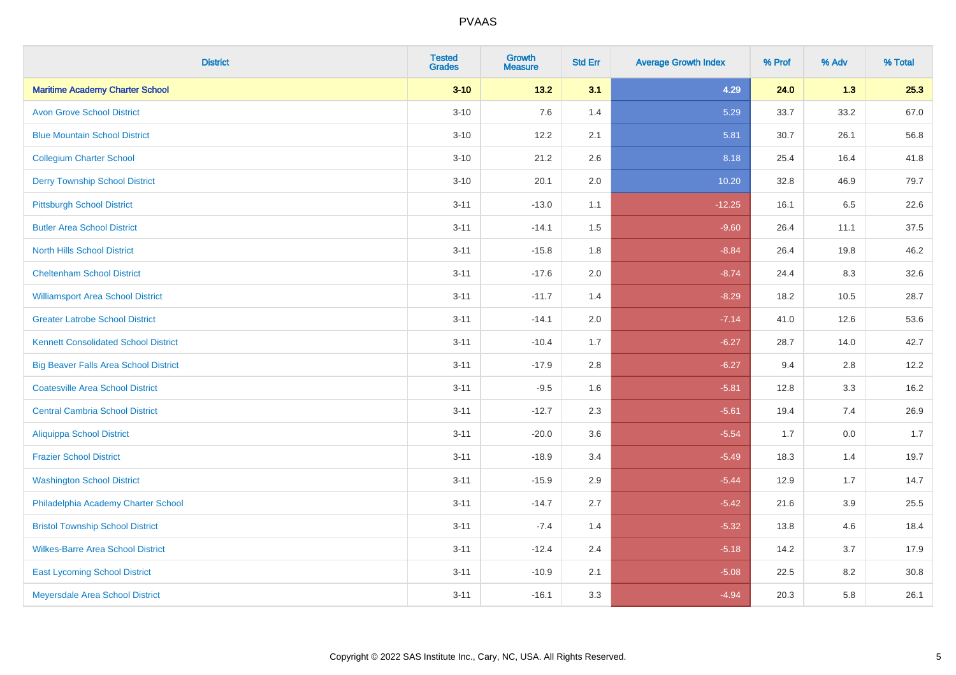| <b>District</b>                              | <b>Tested</b><br><b>Grades</b> | <b>Growth</b><br><b>Measure</b> | <b>Std Err</b> | <b>Average Growth Index</b> | % Prof | % Adv   | % Total |
|----------------------------------------------|--------------------------------|---------------------------------|----------------|-----------------------------|--------|---------|---------|
| <b>Maritime Academy Charter School</b>       | $3 - 10$                       | 13.2                            | 3.1            | 4.29                        | 24.0   | 1.3     | 25.3    |
| <b>Avon Grove School District</b>            | $3 - 10$                       | 7.6                             | 1.4            | 5.29                        | 33.7   | 33.2    | 67.0    |
| <b>Blue Mountain School District</b>         | $3 - 10$                       | 12.2                            | 2.1            | 5.81                        | 30.7   | 26.1    | 56.8    |
| <b>Collegium Charter School</b>              | $3 - 10$                       | 21.2                            | 2.6            | 8.18                        | 25.4   | 16.4    | 41.8    |
| <b>Derry Township School District</b>        | $3 - 10$                       | 20.1                            | 2.0            | 10.20                       | 32.8   | 46.9    | 79.7    |
| <b>Pittsburgh School District</b>            | $3 - 11$                       | $-13.0$                         | 1.1            | $-12.25$                    | 16.1   | 6.5     | 22.6    |
| <b>Butler Area School District</b>           | $3 - 11$                       | $-14.1$                         | 1.5            | $-9.60$                     | 26.4   | 11.1    | 37.5    |
| <b>North Hills School District</b>           | $3 - 11$                       | $-15.8$                         | 1.8            | $-8.84$                     | 26.4   | 19.8    | 46.2    |
| <b>Cheltenham School District</b>            | $3 - 11$                       | $-17.6$                         | 2.0            | $-8.74$                     | 24.4   | 8.3     | 32.6    |
| <b>Williamsport Area School District</b>     | $3 - 11$                       | $-11.7$                         | 1.4            | $-8.29$                     | 18.2   | 10.5    | 28.7    |
| <b>Greater Latrobe School District</b>       | $3 - 11$                       | $-14.1$                         | 2.0            | $-7.14$                     | 41.0   | 12.6    | 53.6    |
| <b>Kennett Consolidated School District</b>  | $3 - 11$                       | $-10.4$                         | 1.7            | $-6.27$                     | 28.7   | 14.0    | 42.7    |
| <b>Big Beaver Falls Area School District</b> | $3 - 11$                       | $-17.9$                         | 2.8            | $-6.27$                     | 9.4    | 2.8     | 12.2    |
| <b>Coatesville Area School District</b>      | $3 - 11$                       | $-9.5$                          | 1.6            | $-5.81$                     | 12.8   | 3.3     | 16.2    |
| <b>Central Cambria School District</b>       | $3 - 11$                       | $-12.7$                         | 2.3            | $-5.61$                     | 19.4   | 7.4     | 26.9    |
| Aliquippa School District                    | $3 - 11$                       | $-20.0$                         | 3.6            | $-5.54$                     | 1.7    | $0.0\,$ | 1.7     |
| <b>Frazier School District</b>               | $3 - 11$                       | $-18.9$                         | 3.4            | $-5.49$                     | 18.3   | 1.4     | 19.7    |
| <b>Washington School District</b>            | $3 - 11$                       | $-15.9$                         | 2.9            | $-5.44$                     | 12.9   | 1.7     | 14.7    |
| Philadelphia Academy Charter School          | $3 - 11$                       | $-14.7$                         | 2.7            | $-5.42$                     | 21.6   | 3.9     | 25.5    |
| <b>Bristol Township School District</b>      | $3 - 11$                       | $-7.4$                          | 1.4            | $-5.32$                     | 13.8   | 4.6     | 18.4    |
| <b>Wilkes-Barre Area School District</b>     | $3 - 11$                       | $-12.4$                         | 2.4            | $-5.18$                     | 14.2   | 3.7     | 17.9    |
| <b>East Lycoming School District</b>         | $3 - 11$                       | $-10.9$                         | 2.1            | $-5.08$                     | 22.5   | 8.2     | 30.8    |
| Meyersdale Area School District              | $3 - 11$                       | $-16.1$                         | 3.3            | $-4.94$                     | 20.3   | 5.8     | 26.1    |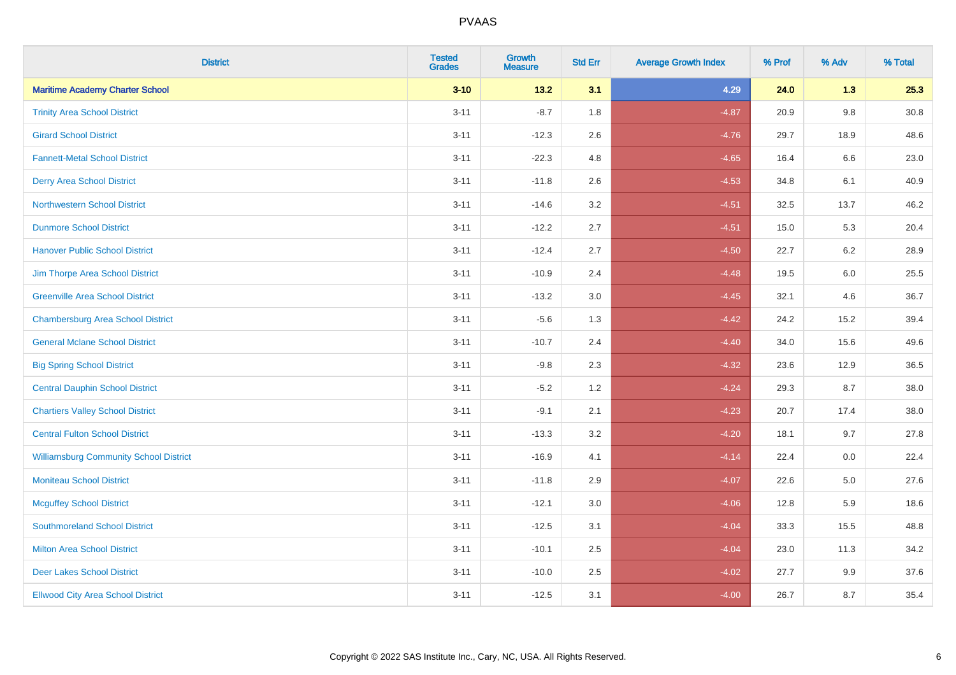| <b>District</b>                               | <b>Tested</b><br><b>Grades</b> | <b>Growth</b><br><b>Measure</b> | <b>Std Err</b> | <b>Average Growth Index</b> | % Prof | % Adv | % Total  |
|-----------------------------------------------|--------------------------------|---------------------------------|----------------|-----------------------------|--------|-------|----------|
| <b>Maritime Academy Charter School</b>        | $3 - 10$                       | 13.2                            | 3.1            | 4.29                        | 24.0   | 1.3   | 25.3     |
| <b>Trinity Area School District</b>           | $3 - 11$                       | $-8.7$                          | 1.8            | $-4.87$                     | 20.9   | 9.8   | $30.8\,$ |
| <b>Girard School District</b>                 | $3 - 11$                       | $-12.3$                         | 2.6            | $-4.76$                     | 29.7   | 18.9  | 48.6     |
| <b>Fannett-Metal School District</b>          | $3 - 11$                       | $-22.3$                         | 4.8            | $-4.65$                     | 16.4   | 6.6   | 23.0     |
| <b>Derry Area School District</b>             | $3 - 11$                       | $-11.8$                         | 2.6            | $-4.53$                     | 34.8   | 6.1   | 40.9     |
| <b>Northwestern School District</b>           | $3 - 11$                       | $-14.6$                         | 3.2            | $-4.51$                     | 32.5   | 13.7  | 46.2     |
| <b>Dunmore School District</b>                | $3 - 11$                       | $-12.2$                         | 2.7            | $-4.51$                     | 15.0   | 5.3   | 20.4     |
| <b>Hanover Public School District</b>         | $3 - 11$                       | $-12.4$                         | 2.7            | $-4.50$                     | 22.7   | 6.2   | 28.9     |
| Jim Thorpe Area School District               | $3 - 11$                       | $-10.9$                         | 2.4            | $-4.48$                     | 19.5   | 6.0   | 25.5     |
| <b>Greenville Area School District</b>        | $3 - 11$                       | $-13.2$                         | 3.0            | $-4.45$                     | 32.1   | 4.6   | 36.7     |
| <b>Chambersburg Area School District</b>      | $3 - 11$                       | $-5.6$                          | 1.3            | $-4.42$                     | 24.2   | 15.2  | 39.4     |
| <b>General Mclane School District</b>         | $3 - 11$                       | $-10.7$                         | 2.4            | $-4.40$                     | 34.0   | 15.6  | 49.6     |
| <b>Big Spring School District</b>             | $3 - 11$                       | $-9.8$                          | 2.3            | $-4.32$                     | 23.6   | 12.9  | 36.5     |
| <b>Central Dauphin School District</b>        | $3 - 11$                       | $-5.2$                          | 1.2            | $-4.24$                     | 29.3   | 8.7   | 38.0     |
| <b>Chartiers Valley School District</b>       | $3 - 11$                       | $-9.1$                          | 2.1            | $-4.23$                     | 20.7   | 17.4  | 38.0     |
| <b>Central Fulton School District</b>         | $3 - 11$                       | $-13.3$                         | 3.2            | $-4.20$                     | 18.1   | 9.7   | 27.8     |
| <b>Williamsburg Community School District</b> | $3 - 11$                       | $-16.9$                         | 4.1            | $-4.14$                     | 22.4   | 0.0   | 22.4     |
| <b>Moniteau School District</b>               | $3 - 11$                       | $-11.8$                         | 2.9            | $-4.07$                     | 22.6   | 5.0   | 27.6     |
| <b>Mcguffey School District</b>               | $3 - 11$                       | $-12.1$                         | 3.0            | $-4.06$                     | 12.8   | 5.9   | 18.6     |
| <b>Southmoreland School District</b>          | $3 - 11$                       | $-12.5$                         | 3.1            | $-4.04$                     | 33.3   | 15.5  | 48.8     |
| <b>Milton Area School District</b>            | $3 - 11$                       | $-10.1$                         | 2.5            | $-4.04$                     | 23.0   | 11.3  | 34.2     |
| <b>Deer Lakes School District</b>             | $3 - 11$                       | $-10.0$                         | 2.5            | $-4.02$                     | 27.7   | 9.9   | 37.6     |
| <b>Ellwood City Area School District</b>      | $3 - 11$                       | $-12.5$                         | 3.1            | $-4.00$                     | 26.7   | 8.7   | 35.4     |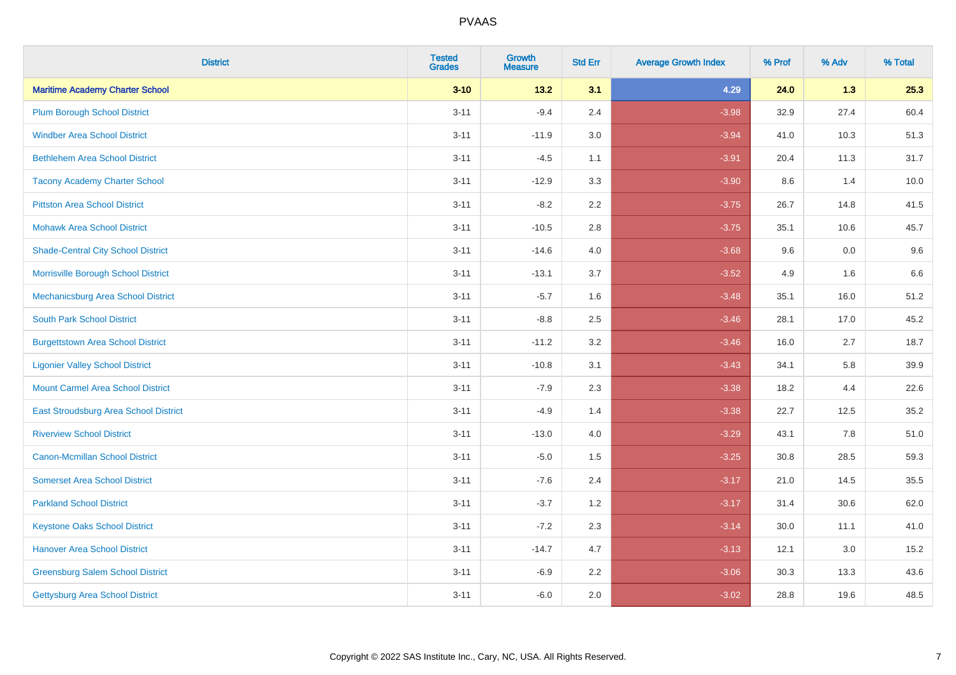| <b>District</b>                           | <b>Tested</b><br><b>Grades</b> | <b>Growth</b><br><b>Measure</b> | <b>Std Err</b> | <b>Average Growth Index</b> | % Prof | % Adv | % Total |
|-------------------------------------------|--------------------------------|---------------------------------|----------------|-----------------------------|--------|-------|---------|
| <b>Maritime Academy Charter School</b>    | $3 - 10$                       | $13.2$                          | 3.1            | 4.29                        | 24.0   | 1.3   | 25.3    |
| <b>Plum Borough School District</b>       | $3 - 11$                       | $-9.4$                          | 2.4            | $-3.98$                     | 32.9   | 27.4  | 60.4    |
| <b>Windber Area School District</b>       | $3 - 11$                       | $-11.9$                         | 3.0            | $-3.94$                     | 41.0   | 10.3  | 51.3    |
| <b>Bethlehem Area School District</b>     | $3 - 11$                       | $-4.5$                          | 1.1            | $-3.91$                     | 20.4   | 11.3  | 31.7    |
| <b>Tacony Academy Charter School</b>      | $3 - 11$                       | $-12.9$                         | 3.3            | $-3.90$                     | 8.6    | 1.4   | 10.0    |
| <b>Pittston Area School District</b>      | $3 - 11$                       | $-8.2$                          | 2.2            | $-3.75$                     | 26.7   | 14.8  | 41.5    |
| <b>Mohawk Area School District</b>        | $3 - 11$                       | $-10.5$                         | 2.8            | $-3.75$                     | 35.1   | 10.6  | 45.7    |
| <b>Shade-Central City School District</b> | $3 - 11$                       | $-14.6$                         | 4.0            | $-3.68$                     | 9.6    | 0.0   | 9.6     |
| Morrisville Borough School District       | $3 - 11$                       | $-13.1$                         | 3.7            | $-3.52$                     | 4.9    | 1.6   | 6.6     |
| Mechanicsburg Area School District        | $3 - 11$                       | $-5.7$                          | 1.6            | $-3.48$                     | 35.1   | 16.0  | 51.2    |
| <b>South Park School District</b>         | $3 - 11$                       | $-8.8$                          | 2.5            | $-3.46$                     | 28.1   | 17.0  | 45.2    |
| <b>Burgettstown Area School District</b>  | $3 - 11$                       | $-11.2$                         | 3.2            | $-3.46$                     | 16.0   | 2.7   | 18.7    |
| <b>Ligonier Valley School District</b>    | $3 - 11$                       | $-10.8$                         | 3.1            | $-3.43$                     | 34.1   | 5.8   | 39.9    |
| <b>Mount Carmel Area School District</b>  | $3 - 11$                       | $-7.9$                          | 2.3            | $-3.38$                     | 18.2   | 4.4   | 22.6    |
| East Stroudsburg Area School District     | $3 - 11$                       | $-4.9$                          | 1.4            | $-3.38$                     | 22.7   | 12.5  | 35.2    |
| <b>Riverview School District</b>          | $3 - 11$                       | $-13.0$                         | 4.0            | $-3.29$                     | 43.1   | 7.8   | 51.0    |
| <b>Canon-Mcmillan School District</b>     | $3 - 11$                       | $-5.0$                          | 1.5            | $-3.25$                     | 30.8   | 28.5  | 59.3    |
| <b>Somerset Area School District</b>      | $3 - 11$                       | $-7.6$                          | 2.4            | $-3.17$                     | 21.0   | 14.5  | 35.5    |
| <b>Parkland School District</b>           | $3 - 11$                       | $-3.7$                          | 1.2            | $-3.17$                     | 31.4   | 30.6  | 62.0    |
| <b>Keystone Oaks School District</b>      | $3 - 11$                       | $-7.2$                          | 2.3            | $-3.14$                     | 30.0   | 11.1  | 41.0    |
| <b>Hanover Area School District</b>       | $3 - 11$                       | $-14.7$                         | 4.7            | $-3.13$                     | 12.1   | 3.0   | 15.2    |
| <b>Greensburg Salem School District</b>   | $3 - 11$                       | $-6.9$                          | 2.2            | $-3.06$                     | 30.3   | 13.3  | 43.6    |
| Gettysburg Area School District           | $3 - 11$                       | $-6.0$                          | 2.0            | $-3.02$                     | 28.8   | 19.6  | 48.5    |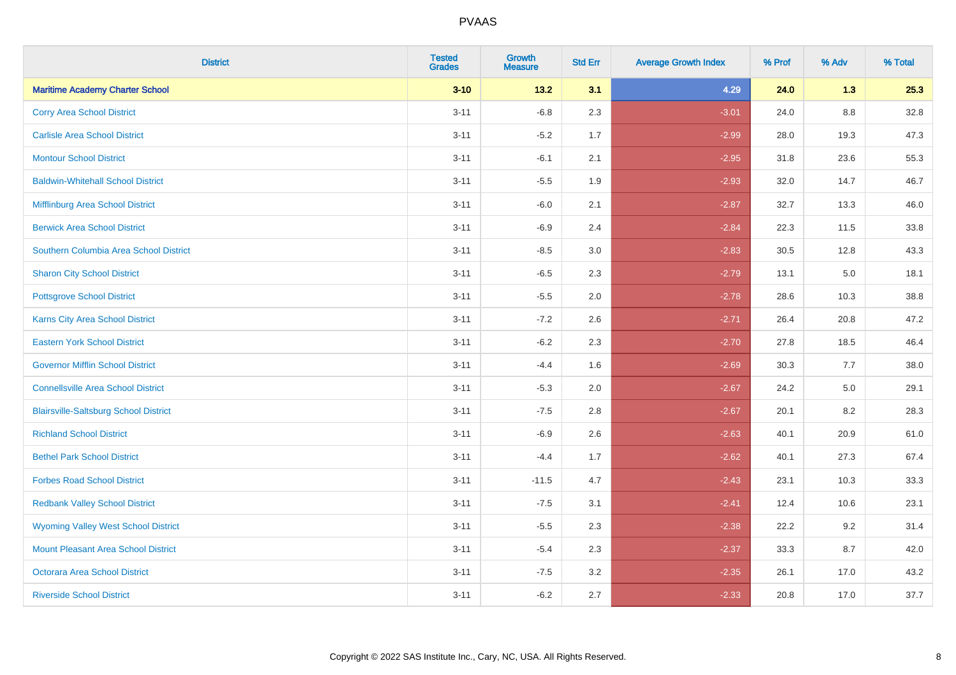| <b>District</b>                              | <b>Tested</b><br><b>Grades</b> | <b>Growth</b><br><b>Measure</b> | <b>Std Err</b> | <b>Average Growth Index</b> | % Prof | % Adv | % Total |
|----------------------------------------------|--------------------------------|---------------------------------|----------------|-----------------------------|--------|-------|---------|
| <b>Maritime Academy Charter School</b>       | $3 - 10$                       | 13.2                            | 3.1            | 4.29                        | 24.0   | 1.3   | 25.3    |
| <b>Corry Area School District</b>            | $3 - 11$                       | $-6.8$                          | 2.3            | $-3.01$                     | 24.0   | 8.8   | 32.8    |
| <b>Carlisle Area School District</b>         | $3 - 11$                       | $-5.2$                          | 1.7            | $-2.99$                     | 28.0   | 19.3  | 47.3    |
| <b>Montour School District</b>               | $3 - 11$                       | $-6.1$                          | 2.1            | $-2.95$                     | 31.8   | 23.6  | 55.3    |
| <b>Baldwin-Whitehall School District</b>     | $3 - 11$                       | $-5.5$                          | 1.9            | $-2.93$                     | 32.0   | 14.7  | 46.7    |
| Mifflinburg Area School District             | $3 - 11$                       | $-6.0$                          | 2.1            | $-2.87$                     | 32.7   | 13.3  | 46.0    |
| <b>Berwick Area School District</b>          | $3 - 11$                       | $-6.9$                          | 2.4            | $-2.84$                     | 22.3   | 11.5  | 33.8    |
| Southern Columbia Area School District       | $3 - 11$                       | $-8.5$                          | 3.0            | $-2.83$                     | 30.5   | 12.8  | 43.3    |
| <b>Sharon City School District</b>           | $3 - 11$                       | $-6.5$                          | 2.3            | $-2.79$                     | 13.1   | 5.0   | 18.1    |
| <b>Pottsgrove School District</b>            | $3 - 11$                       | $-5.5$                          | 2.0            | $-2.78$                     | 28.6   | 10.3  | 38.8    |
| <b>Karns City Area School District</b>       | $3 - 11$                       | $-7.2$                          | 2.6            | $-2.71$                     | 26.4   | 20.8  | 47.2    |
| <b>Eastern York School District</b>          | $3 - 11$                       | $-6.2$                          | 2.3            | $-2.70$                     | 27.8   | 18.5  | 46.4    |
| <b>Governor Mifflin School District</b>      | $3 - 11$                       | $-4.4$                          | 1.6            | $-2.69$                     | 30.3   | 7.7   | 38.0    |
| <b>Connellsville Area School District</b>    | $3 - 11$                       | $-5.3$                          | 2.0            | $-2.67$                     | 24.2   | 5.0   | 29.1    |
| <b>Blairsville-Saltsburg School District</b> | $3 - 11$                       | $-7.5$                          | 2.8            | $-2.67$                     | 20.1   | 8.2   | 28.3    |
| <b>Richland School District</b>              | $3 - 11$                       | $-6.9$                          | 2.6            | $-2.63$                     | 40.1   | 20.9  | 61.0    |
| <b>Bethel Park School District</b>           | $3 - 11$                       | $-4.4$                          | 1.7            | $-2.62$                     | 40.1   | 27.3  | 67.4    |
| <b>Forbes Road School District</b>           | $3 - 11$                       | $-11.5$                         | 4.7            | $-2.43$                     | 23.1   | 10.3  | 33.3    |
| <b>Redbank Valley School District</b>        | $3 - 11$                       | $-7.5$                          | 3.1            | $-2.41$                     | 12.4   | 10.6  | 23.1    |
| <b>Wyoming Valley West School District</b>   | $3 - 11$                       | $-5.5$                          | 2.3            | $-2.38$                     | 22.2   | 9.2   | 31.4    |
| <b>Mount Pleasant Area School District</b>   | $3 - 11$                       | $-5.4$                          | 2.3            | $-2.37$                     | 33.3   | 8.7   | 42.0    |
| <b>Octorara Area School District</b>         | $3 - 11$                       | $-7.5$                          | 3.2            | $-2.35$                     | 26.1   | 17.0  | 43.2    |
| <b>Riverside School District</b>             | $3 - 11$                       | $-6.2$                          | 2.7            | $-2.33$                     | 20.8   | 17.0  | 37.7    |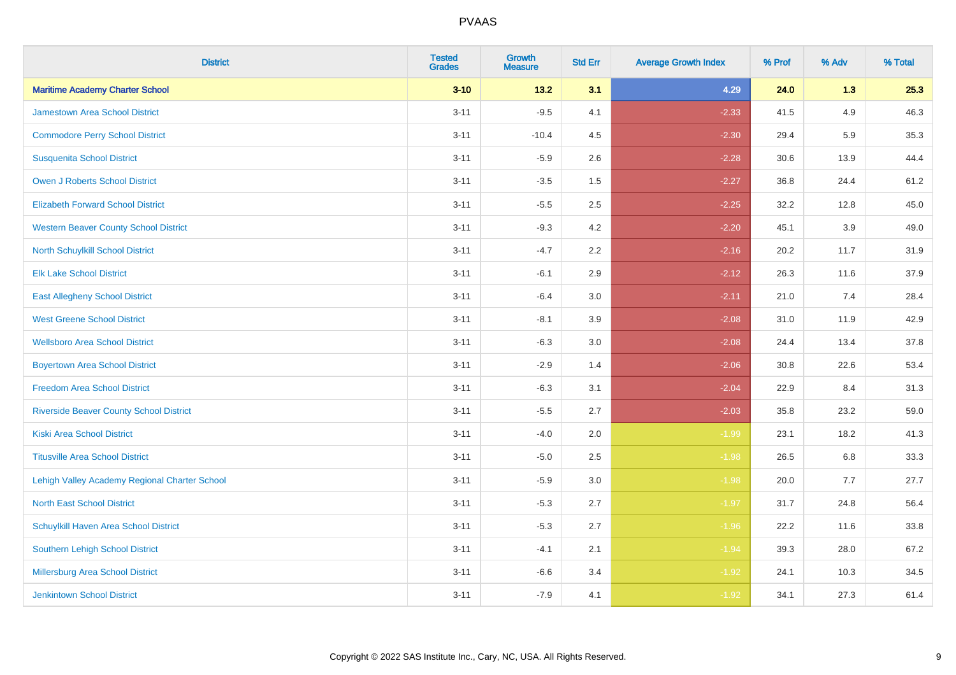| <b>District</b>                                | <b>Tested</b><br><b>Grades</b> | <b>Growth</b><br><b>Measure</b> | <b>Std Err</b> | <b>Average Growth Index</b> | % Prof | % Adv   | % Total |
|------------------------------------------------|--------------------------------|---------------------------------|----------------|-----------------------------|--------|---------|---------|
| <b>Maritime Academy Charter School</b>         | $3 - 10$                       | 13.2                            | 3.1            | 4.29                        | 24.0   | 1.3     | 25.3    |
| <b>Jamestown Area School District</b>          | $3 - 11$                       | $-9.5$                          | 4.1            | $-2.33$                     | 41.5   | 4.9     | 46.3    |
| <b>Commodore Perry School District</b>         | $3 - 11$                       | $-10.4$                         | 4.5            | $-2.30$                     | 29.4   | 5.9     | 35.3    |
| <b>Susquenita School District</b>              | $3 - 11$                       | $-5.9$                          | 2.6            | $-2.28$                     | 30.6   | 13.9    | 44.4    |
| <b>Owen J Roberts School District</b>          | $3 - 11$                       | $-3.5$                          | 1.5            | $-2.27$                     | 36.8   | 24.4    | 61.2    |
| <b>Elizabeth Forward School District</b>       | $3 - 11$                       | $-5.5$                          | 2.5            | $-2.25$                     | 32.2   | 12.8    | 45.0    |
| <b>Western Beaver County School District</b>   | $3 - 11$                       | $-9.3$                          | 4.2            | $-2.20$                     | 45.1   | 3.9     | 49.0    |
| North Schuylkill School District               | $3 - 11$                       | $-4.7$                          | 2.2            | $-2.16$                     | 20.2   | 11.7    | 31.9    |
| <b>Elk Lake School District</b>                | $3 - 11$                       | $-6.1$                          | 2.9            | $-2.12$                     | 26.3   | 11.6    | 37.9    |
| <b>East Allegheny School District</b>          | $3 - 11$                       | $-6.4$                          | 3.0            | $-2.11$                     | 21.0   | 7.4     | 28.4    |
| <b>West Greene School District</b>             | $3 - 11$                       | $-8.1$                          | 3.9            | $-2.08$                     | 31.0   | 11.9    | 42.9    |
| <b>Wellsboro Area School District</b>          | $3 - 11$                       | $-6.3$                          | 3.0            | $-2.08$                     | 24.4   | 13.4    | 37.8    |
| <b>Boyertown Area School District</b>          | $3 - 11$                       | $-2.9$                          | 1.4            | $-2.06$                     | 30.8   | 22.6    | 53.4    |
| <b>Freedom Area School District</b>            | $3 - 11$                       | $-6.3$                          | 3.1            | $-2.04$                     | 22.9   | 8.4     | 31.3    |
| <b>Riverside Beaver County School District</b> | $3 - 11$                       | $-5.5$                          | 2.7            | $-2.03$                     | 35.8   | 23.2    | 59.0    |
| <b>Kiski Area School District</b>              | $3 - 11$                       | $-4.0$                          | 2.0            | $-1.99$                     | 23.1   | 18.2    | 41.3    |
| <b>Titusville Area School District</b>         | $3 - 11$                       | $-5.0$                          | 2.5            | $-1.98$                     | 26.5   | $6.8\,$ | 33.3    |
| Lehigh Valley Academy Regional Charter School  | $3 - 11$                       | $-5.9$                          | 3.0            | $-1.98$                     | 20.0   | 7.7     | 27.7    |
| <b>North East School District</b>              | $3 - 11$                       | $-5.3$                          | 2.7            | $-1.97$                     | 31.7   | 24.8    | 56.4    |
| Schuylkill Haven Area School District          | $3 - 11$                       | $-5.3$                          | 2.7            | $-1.96$                     | 22.2   | 11.6    | 33.8    |
| Southern Lehigh School District                | $3 - 11$                       | $-4.1$                          | 2.1            | $-1.94$                     | 39.3   | 28.0    | 67.2    |
| Millersburg Area School District               | $3 - 11$                       | $-6.6$                          | 3.4            | $-1.92$                     | 24.1   | 10.3    | 34.5    |
| Jenkintown School District                     | $3 - 11$                       | $-7.9$                          | 4.1            | $-1.92$                     | 34.1   | 27.3    | 61.4    |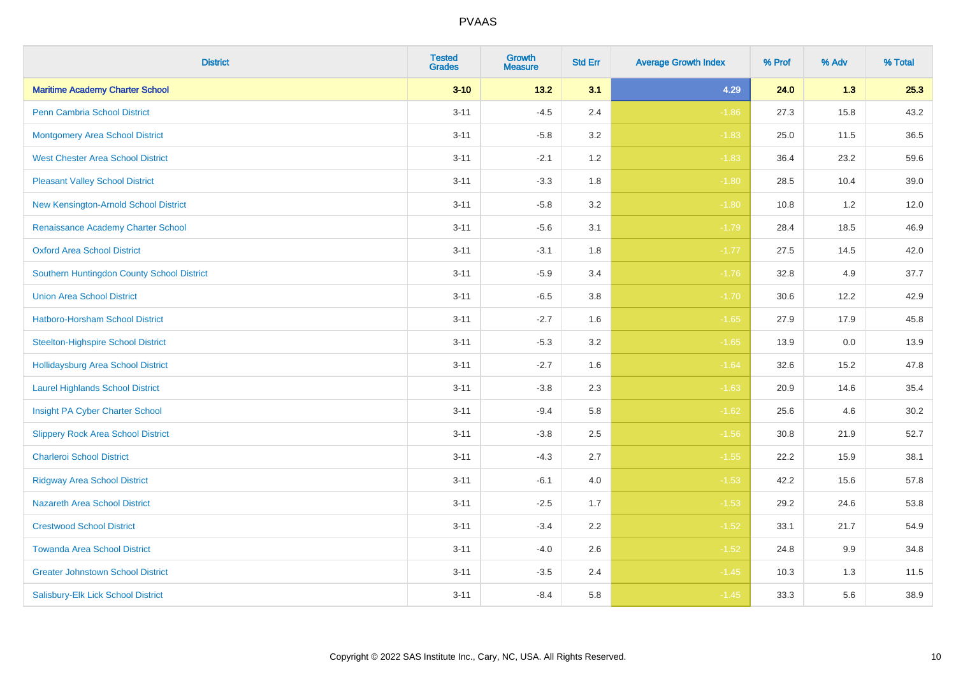| <b>District</b>                            | <b>Tested</b><br><b>Grades</b> | <b>Growth</b><br><b>Measure</b> | <b>Std Err</b> | <b>Average Growth Index</b> | % Prof | % Adv | % Total |
|--------------------------------------------|--------------------------------|---------------------------------|----------------|-----------------------------|--------|-------|---------|
| <b>Maritime Academy Charter School</b>     | $3 - 10$                       | 13.2                            | 3.1            | 4.29                        | 24.0   | 1.3   | 25.3    |
| <b>Penn Cambria School District</b>        | $3 - 11$                       | $-4.5$                          | 2.4            | $-1.86$                     | 27.3   | 15.8  | 43.2    |
| <b>Montgomery Area School District</b>     | $3 - 11$                       | $-5.8$                          | 3.2            | $-1.83$                     | 25.0   | 11.5  | 36.5    |
| <b>West Chester Area School District</b>   | $3 - 11$                       | $-2.1$                          | 1.2            | $-1.83$                     | 36.4   | 23.2  | 59.6    |
| <b>Pleasant Valley School District</b>     | $3 - 11$                       | $-3.3$                          | 1.8            | $-1.80$                     | 28.5   | 10.4  | 39.0    |
| New Kensington-Arnold School District      | $3 - 11$                       | $-5.8$                          | 3.2            | $-1.80$                     | 10.8   | 1.2   | 12.0    |
| Renaissance Academy Charter School         | $3 - 11$                       | $-5.6$                          | 3.1            | $-1.79$                     | 28.4   | 18.5  | 46.9    |
| <b>Oxford Area School District</b>         | $3 - 11$                       | $-3.1$                          | 1.8            | $-1.77$                     | 27.5   | 14.5  | 42.0    |
| Southern Huntingdon County School District | $3 - 11$                       | $-5.9$                          | 3.4            | $-1.76$                     | 32.8   | 4.9   | 37.7    |
| <b>Union Area School District</b>          | $3 - 11$                       | $-6.5$                          | 3.8            | $-1.70$                     | 30.6   | 12.2  | 42.9    |
| Hatboro-Horsham School District            | $3 - 11$                       | $-2.7$                          | 1.6            | $-1.65$                     | 27.9   | 17.9  | 45.8    |
| <b>Steelton-Highspire School District</b>  | $3 - 11$                       | $-5.3$                          | 3.2            | $-1.65$                     | 13.9   | 0.0   | 13.9    |
| <b>Hollidaysburg Area School District</b>  | $3 - 11$                       | $-2.7$                          | 1.6            | $-1.64$                     | 32.6   | 15.2  | 47.8    |
| <b>Laurel Highlands School District</b>    | $3 - 11$                       | $-3.8$                          | 2.3            | $-1.63$                     | 20.9   | 14.6  | 35.4    |
| Insight PA Cyber Charter School            | $3 - 11$                       | $-9.4$                          | 5.8            | $-1.62$                     | 25.6   | 4.6   | 30.2    |
| <b>Slippery Rock Area School District</b>  | $3 - 11$                       | $-3.8$                          | 2.5            | $-1.56$                     | 30.8   | 21.9  | 52.7    |
| <b>Charleroi School District</b>           | $3 - 11$                       | $-4.3$                          | 2.7            | $-1.55$                     | 22.2   | 15.9  | 38.1    |
| <b>Ridgway Area School District</b>        | $3 - 11$                       | $-6.1$                          | 4.0            | $-1.53$                     | 42.2   | 15.6  | 57.8    |
| <b>Nazareth Area School District</b>       | $3 - 11$                       | $-2.5$                          | 1.7            | $-1.53$                     | 29.2   | 24.6  | 53.8    |
| <b>Crestwood School District</b>           | $3 - 11$                       | $-3.4$                          | 2.2            | $-1.52$                     | 33.1   | 21.7  | 54.9    |
| <b>Towanda Area School District</b>        | $3 - 11$                       | $-4.0$                          | 2.6            | $-1.52$                     | 24.8   | 9.9   | 34.8    |
| <b>Greater Johnstown School District</b>   | $3 - 11$                       | $-3.5$                          | 2.4            | $-1.45$                     | 10.3   | 1.3   | 11.5    |
| Salisbury-Elk Lick School District         | $3 - 11$                       | $-8.4$                          | 5.8            | $-1.45$                     | 33.3   | 5.6   | 38.9    |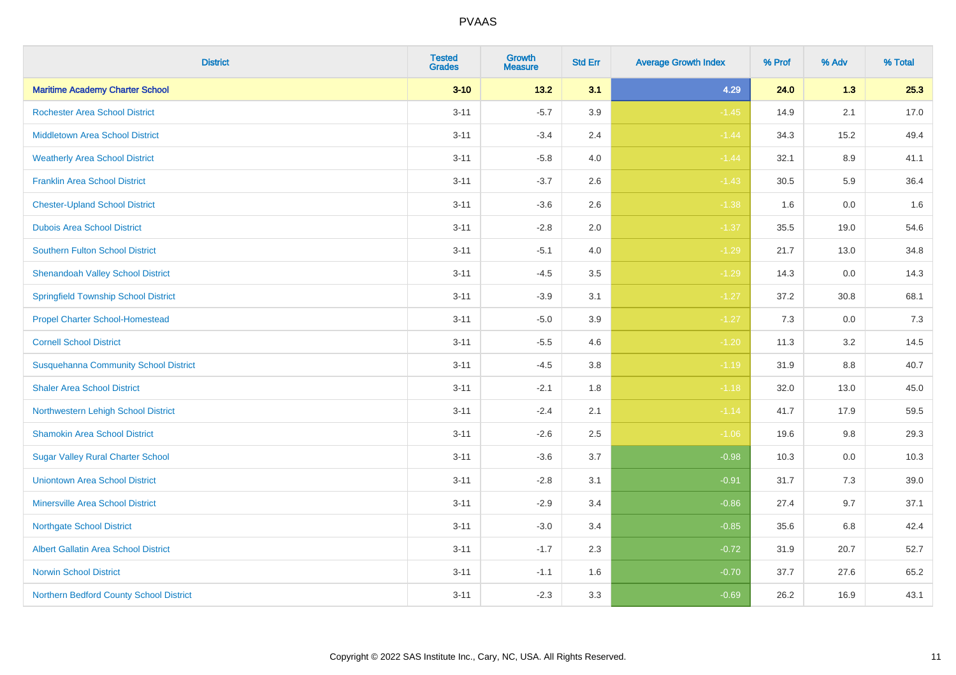| <b>District</b>                              | <b>Tested</b><br><b>Grades</b> | <b>Growth</b><br><b>Measure</b> | <b>Std Err</b> | <b>Average Growth Index</b> | % Prof | % Adv   | % Total |
|----------------------------------------------|--------------------------------|---------------------------------|----------------|-----------------------------|--------|---------|---------|
| <b>Maritime Academy Charter School</b>       | $3 - 10$                       | 13.2                            | 3.1            | 4.29                        | 24.0   | 1.3     | 25.3    |
| <b>Rochester Area School District</b>        | $3 - 11$                       | $-5.7$                          | 3.9            | $-1.45$                     | 14.9   | 2.1     | 17.0    |
| <b>Middletown Area School District</b>       | $3 - 11$                       | $-3.4$                          | 2.4            | $-1.44$                     | 34.3   | 15.2    | 49.4    |
| <b>Weatherly Area School District</b>        | $3 - 11$                       | $-5.8$                          | 4.0            | $-1.44$                     | 32.1   | 8.9     | 41.1    |
| <b>Franklin Area School District</b>         | $3 - 11$                       | $-3.7$                          | 2.6            | $-1.43$                     | 30.5   | 5.9     | 36.4    |
| <b>Chester-Upland School District</b>        | $3 - 11$                       | $-3.6$                          | 2.6            | $-1.38$                     | 1.6    | 0.0     | 1.6     |
| <b>Dubois Area School District</b>           | $3 - 11$                       | $-2.8$                          | 2.0            | $-1.37$                     | 35.5   | 19.0    | 54.6    |
| <b>Southern Fulton School District</b>       | $3 - 11$                       | $-5.1$                          | 4.0            | $-1.29$                     | 21.7   | 13.0    | 34.8    |
| <b>Shenandoah Valley School District</b>     | $3 - 11$                       | $-4.5$                          | 3.5            | $-1.29$                     | 14.3   | 0.0     | 14.3    |
| <b>Springfield Township School District</b>  | $3 - 11$                       | $-3.9$                          | 3.1            | $-1.27$                     | 37.2   | 30.8    | 68.1    |
| <b>Propel Charter School-Homestead</b>       | $3 - 11$                       | $-5.0$                          | 3.9            | $-1.27$                     | 7.3    | 0.0     | 7.3     |
| <b>Cornell School District</b>               | $3 - 11$                       | $-5.5$                          | 4.6            | $-1.20$                     | 11.3   | 3.2     | 14.5    |
| <b>Susquehanna Community School District</b> | $3 - 11$                       | $-4.5$                          | $3.8\,$        | $-1.19$                     | 31.9   | $8.8\,$ | 40.7    |
| <b>Shaler Area School District</b>           | $3 - 11$                       | $-2.1$                          | 1.8            | $-1.18$                     | 32.0   | 13.0    | 45.0    |
| Northwestern Lehigh School District          | $3 - 11$                       | $-2.4$                          | 2.1            | $-1.14$                     | 41.7   | 17.9    | 59.5    |
| <b>Shamokin Area School District</b>         | $3 - 11$                       | $-2.6$                          | 2.5            | $-1.06$                     | 19.6   | $9.8\,$ | 29.3    |
| <b>Sugar Valley Rural Charter School</b>     | $3 - 11$                       | $-3.6$                          | 3.7            | $-0.98$                     | 10.3   | 0.0     | 10.3    |
| <b>Uniontown Area School District</b>        | $3 - 11$                       | $-2.8$                          | 3.1            | $-0.91$                     | 31.7   | 7.3     | 39.0    |
| <b>Minersville Area School District</b>      | $3 - 11$                       | $-2.9$                          | 3.4            | $-0.86$                     | 27.4   | 9.7     | 37.1    |
| <b>Northgate School District</b>             | $3 - 11$                       | $-3.0$                          | 3.4            | $-0.85$                     | 35.6   | 6.8     | 42.4    |
| Albert Gallatin Area School District         | $3 - 11$                       | $-1.7$                          | 2.3            | $-0.72$                     | 31.9   | 20.7    | 52.7    |
| <b>Norwin School District</b>                | $3 - 11$                       | $-1.1$                          | 1.6            | $-0.70$                     | 37.7   | 27.6    | 65.2    |
| Northern Bedford County School District      | $3 - 11$                       | $-2.3$                          | 3.3            | $-0.69$                     | 26.2   | 16.9    | 43.1    |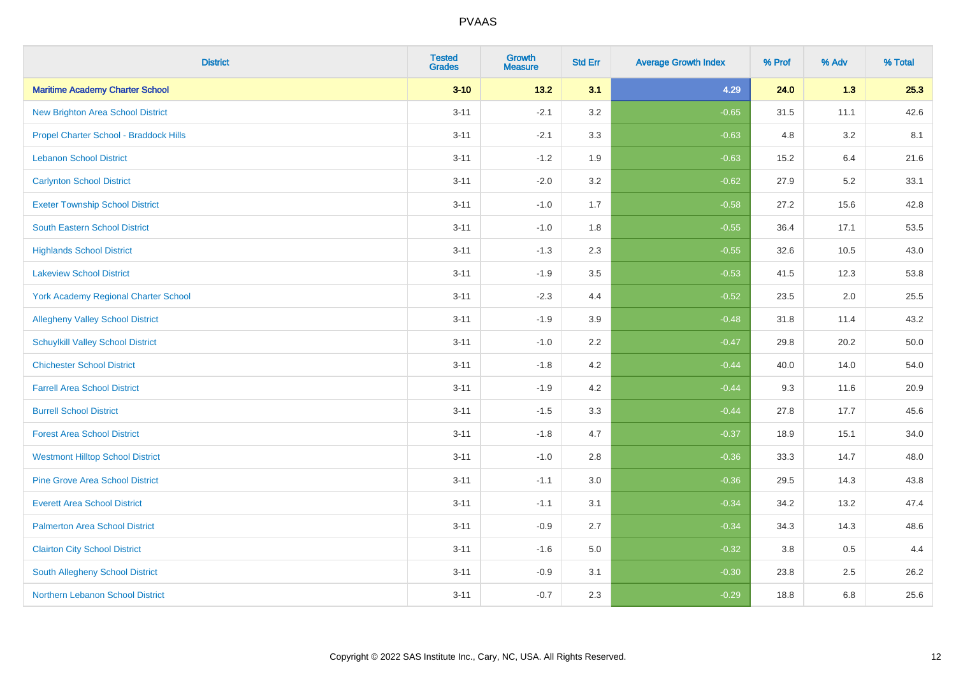| <b>District</b>                             | <b>Tested</b><br><b>Grades</b> | <b>Growth</b><br><b>Measure</b> | <b>Std Err</b> | <b>Average Growth Index</b> | % Prof | % Adv | % Total |
|---------------------------------------------|--------------------------------|---------------------------------|----------------|-----------------------------|--------|-------|---------|
| <b>Maritime Academy Charter School</b>      | $3 - 10$                       | 13.2                            | 3.1            | 4.29                        | 24.0   | 1.3   | 25.3    |
| <b>New Brighton Area School District</b>    | $3 - 11$                       | $-2.1$                          | 3.2            | $-0.65$                     | 31.5   | 11.1  | 42.6    |
| Propel Charter School - Braddock Hills      | $3 - 11$                       | $-2.1$                          | 3.3            | $-0.63$                     | 4.8    | 3.2   | 8.1     |
| <b>Lebanon School District</b>              | $3 - 11$                       | $-1.2$                          | 1.9            | $-0.63$                     | 15.2   | 6.4   | 21.6    |
| <b>Carlynton School District</b>            | $3 - 11$                       | $-2.0$                          | 3.2            | $-0.62$                     | 27.9   | 5.2   | 33.1    |
| <b>Exeter Township School District</b>      | $3 - 11$                       | $-1.0$                          | 1.7            | $-0.58$                     | 27.2   | 15.6  | 42.8    |
| South Eastern School District               | $3 - 11$                       | $-1.0$                          | 1.8            | $-0.55$                     | 36.4   | 17.1  | 53.5    |
| <b>Highlands School District</b>            | $3 - 11$                       | $-1.3$                          | 2.3            | $-0.55$                     | 32.6   | 10.5  | 43.0    |
| <b>Lakeview School District</b>             | $3 - 11$                       | $-1.9$                          | 3.5            | $-0.53$                     | 41.5   | 12.3  | 53.8    |
| <b>York Academy Regional Charter School</b> | $3 - 11$                       | $-2.3$                          | 4.4            | $-0.52$                     | 23.5   | 2.0   | 25.5    |
| <b>Allegheny Valley School District</b>     | $3 - 11$                       | $-1.9$                          | 3.9            | $-0.48$                     | 31.8   | 11.4  | 43.2    |
| <b>Schuylkill Valley School District</b>    | $3 - 11$                       | $-1.0$                          | 2.2            | $-0.47$                     | 29.8   | 20.2  | 50.0    |
| <b>Chichester School District</b>           | $3 - 11$                       | $-1.8$                          | 4.2            | $-0.44$                     | 40.0   | 14.0  | 54.0    |
| <b>Farrell Area School District</b>         | $3 - 11$                       | $-1.9$                          | 4.2            | $-0.44$                     | 9.3    | 11.6  | 20.9    |
| <b>Burrell School District</b>              | $3 - 11$                       | $-1.5$                          | 3.3            | $-0.44$                     | 27.8   | 17.7  | 45.6    |
| <b>Forest Area School District</b>          | $3 - 11$                       | $-1.8$                          | 4.7            | $-0.37$                     | 18.9   | 15.1  | 34.0    |
| <b>Westmont Hilltop School District</b>     | $3 - 11$                       | $-1.0$                          | 2.8            | $-0.36$                     | 33.3   | 14.7  | 48.0    |
| <b>Pine Grove Area School District</b>      | $3 - 11$                       | $-1.1$                          | 3.0            | $-0.36$                     | 29.5   | 14.3  | 43.8    |
| <b>Everett Area School District</b>         | $3 - 11$                       | $-1.1$                          | 3.1            | $-0.34$                     | 34.2   | 13.2  | 47.4    |
| <b>Palmerton Area School District</b>       | $3 - 11$                       | $-0.9$                          | 2.7            | $-0.34$                     | 34.3   | 14.3  | 48.6    |
| <b>Clairton City School District</b>        | $3 - 11$                       | $-1.6$                          | 5.0            | $-0.32$                     | 3.8    | 0.5   | 4.4     |
| South Allegheny School District             | $3 - 11$                       | $-0.9$                          | 3.1            | $-0.30$                     | 23.8   | 2.5   | 26.2    |
| Northern Lebanon School District            | $3 - 11$                       | $-0.7$                          | 2.3            | $-0.29$                     | 18.8   | 6.8   | 25.6    |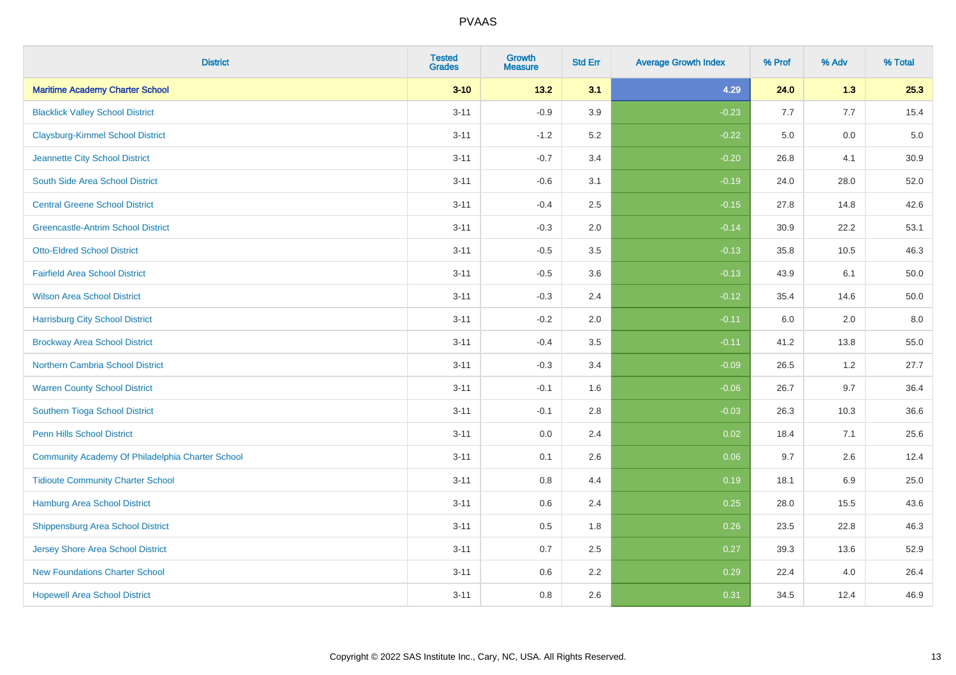| <b>District</b>                                  | <b>Tested</b><br><b>Grades</b> | <b>Growth</b><br><b>Measure</b> | <b>Std Err</b> | <b>Average Growth Index</b> | % Prof | % Adv | % Total  |
|--------------------------------------------------|--------------------------------|---------------------------------|----------------|-----------------------------|--------|-------|----------|
| <b>Maritime Academy Charter School</b>           | $3 - 10$                       | $13.2$                          | 3.1            | 4.29                        | 24.0   | 1.3   | 25.3     |
| <b>Blacklick Valley School District</b>          | $3 - 11$                       | $-0.9$                          | 3.9            | $-0.23$                     | 7.7    | 7.7   | 15.4     |
| <b>Claysburg-Kimmel School District</b>          | $3 - 11$                       | $-1.2$                          | 5.2            | $-0.22$                     | 5.0    | 0.0   | $5.0\,$  |
| Jeannette City School District                   | $3 - 11$                       | $-0.7$                          | 3.4            | $-0.20$                     | 26.8   | 4.1   | 30.9     |
| South Side Area School District                  | $3 - 11$                       | $-0.6$                          | 3.1            | $-0.19$                     | 24.0   | 28.0  | 52.0     |
| <b>Central Greene School District</b>            | $3 - 11$                       | $-0.4$                          | 2.5            | $-0.15$                     | 27.8   | 14.8  | 42.6     |
| <b>Greencastle-Antrim School District</b>        | $3 - 11$                       | $-0.3$                          | 2.0            | $-0.14$                     | 30.9   | 22.2  | 53.1     |
| <b>Otto-Eldred School District</b>               | $3 - 11$                       | $-0.5$                          | 3.5            | $-0.13$                     | 35.8   | 10.5  | 46.3     |
| <b>Fairfield Area School District</b>            | $3 - 11$                       | $-0.5$                          | 3.6            | $-0.13$                     | 43.9   | 6.1   | 50.0     |
| <b>Wilson Area School District</b>               | $3 - 11$                       | $-0.3$                          | 2.4            | $-0.12$                     | 35.4   | 14.6  | $50.0\,$ |
| <b>Harrisburg City School District</b>           | $3 - 11$                       | $-0.2$                          | 2.0            | $-0.11$                     | 6.0    | 2.0   | 8.0      |
| <b>Brockway Area School District</b>             | $3 - 11$                       | $-0.4$                          | 3.5            | $-0.11$                     | 41.2   | 13.8  | 55.0     |
| Northern Cambria School District                 | $3 - 11$                       | $-0.3$                          | 3.4            | $-0.09$                     | 26.5   | 1.2   | 27.7     |
| <b>Warren County School District</b>             | $3 - 11$                       | $-0.1$                          | 1.6            | $-0.06$                     | 26.7   | 9.7   | 36.4     |
| Southern Tioga School District                   | $3 - 11$                       | $-0.1$                          | 2.8            | $-0.03$                     | 26.3   | 10.3  | 36.6     |
| <b>Penn Hills School District</b>                | $3 - 11$                       | 0.0                             | 2.4            | 0.02                        | 18.4   | 7.1   | 25.6     |
| Community Academy Of Philadelphia Charter School | $3 - 11$                       | 0.1                             | 2.6            | 0.06                        | 9.7    | 2.6   | 12.4     |
| <b>Tidioute Community Charter School</b>         | $3 - 11$                       | 0.8                             | 4.4            | 0.19                        | 18.1   | 6.9   | 25.0     |
| Hamburg Area School District                     | $3 - 11$                       | 0.6                             | 2.4            | 0.25                        | 28.0   | 15.5  | 43.6     |
| <b>Shippensburg Area School District</b>         | $3 - 11$                       | 0.5                             | 1.8            | 0.26                        | 23.5   | 22.8  | 46.3     |
| <b>Jersey Shore Area School District</b>         | $3 - 11$                       | 0.7                             | 2.5            | 0.27                        | 39.3   | 13.6  | 52.9     |
| <b>New Foundations Charter School</b>            | $3 - 11$                       | 0.6                             | 2.2            | 0.29                        | 22.4   | 4.0   | 26.4     |
| <b>Hopewell Area School District</b>             | $3 - 11$                       | 0.8                             | 2.6            | 0.31                        | 34.5   | 12.4  | 46.9     |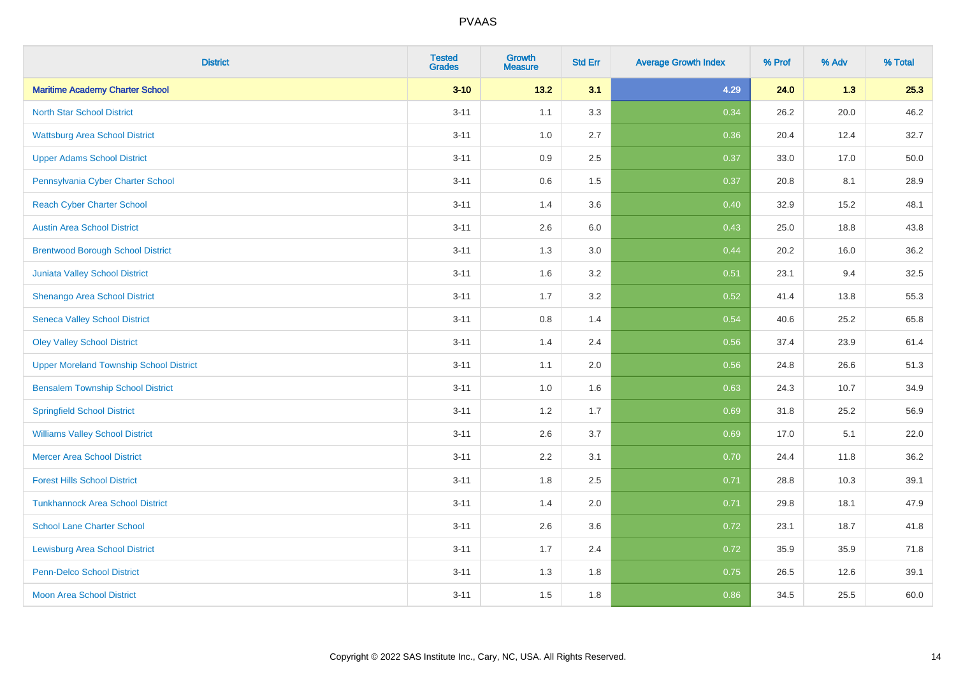| <b>District</b>                                | <b>Tested</b><br><b>Grades</b> | Growth<br><b>Measure</b> | <b>Std Err</b> | <b>Average Growth Index</b> | % Prof | % Adv | % Total |
|------------------------------------------------|--------------------------------|--------------------------|----------------|-----------------------------|--------|-------|---------|
| <b>Maritime Academy Charter School</b>         | $3 - 10$                       | 13.2                     | 3.1            | 4.29                        | 24.0   | 1.3   | 25.3    |
| <b>North Star School District</b>              | $3 - 11$                       | 1.1                      | 3.3            | 0.34                        | 26.2   | 20.0  | 46.2    |
| <b>Wattsburg Area School District</b>          | $3 - 11$                       | 1.0                      | 2.7            | 0.36                        | 20.4   | 12.4  | 32.7    |
| <b>Upper Adams School District</b>             | $3 - 11$                       | 0.9                      | 2.5            | 0.37                        | 33.0   | 17.0  | 50.0    |
| Pennsylvania Cyber Charter School              | $3 - 11$                       | 0.6                      | 1.5            | 0.37                        | 20.8   | 8.1   | 28.9    |
| <b>Reach Cyber Charter School</b>              | $3 - 11$                       | 1.4                      | 3.6            | 0.40                        | 32.9   | 15.2  | 48.1    |
| <b>Austin Area School District</b>             | $3 - 11$                       | 2.6                      | 6.0            | 0.43                        | 25.0   | 18.8  | 43.8    |
| <b>Brentwood Borough School District</b>       | $3 - 11$                       | 1.3                      | 3.0            | 0.44                        | 20.2   | 16.0  | 36.2    |
| <b>Juniata Valley School District</b>          | $3 - 11$                       | 1.6                      | 3.2            | 0.51                        | 23.1   | 9.4   | 32.5    |
| Shenango Area School District                  | $3 - 11$                       | 1.7                      | 3.2            | 0.52                        | 41.4   | 13.8  | 55.3    |
| <b>Seneca Valley School District</b>           | $3 - 11$                       | $0.8\,$                  | 1.4            | 0.54                        | 40.6   | 25.2  | 65.8    |
| <b>Oley Valley School District</b>             | $3 - 11$                       | 1.4                      | 2.4            | 0.56                        | 37.4   | 23.9  | 61.4    |
| <b>Upper Moreland Township School District</b> | $3 - 11$                       | 1.1                      | 2.0            | 0.56                        | 24.8   | 26.6  | 51.3    |
| <b>Bensalem Township School District</b>       | $3 - 11$                       | 1.0                      | 1.6            | 0.63                        | 24.3   | 10.7  | 34.9    |
| <b>Springfield School District</b>             | $3 - 11$                       | 1.2                      | 1.7            | 0.69                        | 31.8   | 25.2  | 56.9    |
| <b>Williams Valley School District</b>         | $3 - 11$                       | 2.6                      | 3.7            | 0.69                        | 17.0   | 5.1   | 22.0    |
| <b>Mercer Area School District</b>             | $3 - 11$                       | 2.2                      | 3.1            | 0.70                        | 24.4   | 11.8  | 36.2    |
| <b>Forest Hills School District</b>            | $3 - 11$                       | 1.8                      | 2.5            | 0.71                        | 28.8   | 10.3  | 39.1    |
| <b>Tunkhannock Area School District</b>        | $3 - 11$                       | 1.4                      | 2.0            | 0.71                        | 29.8   | 18.1  | 47.9    |
| <b>School Lane Charter School</b>              | $3 - 11$                       | 2.6                      | 3.6            | 0.72                        | 23.1   | 18.7  | 41.8    |
| <b>Lewisburg Area School District</b>          | $3 - 11$                       | 1.7                      | 2.4            | 0.72                        | 35.9   | 35.9  | 71.8    |
| <b>Penn-Delco School District</b>              | $3 - 11$                       | 1.3                      | 1.8            | 0.75                        | 26.5   | 12.6  | 39.1    |
| <b>Moon Area School District</b>               | $3 - 11$                       | 1.5                      | 1.8            | 0.86                        | 34.5   | 25.5  | 60.0    |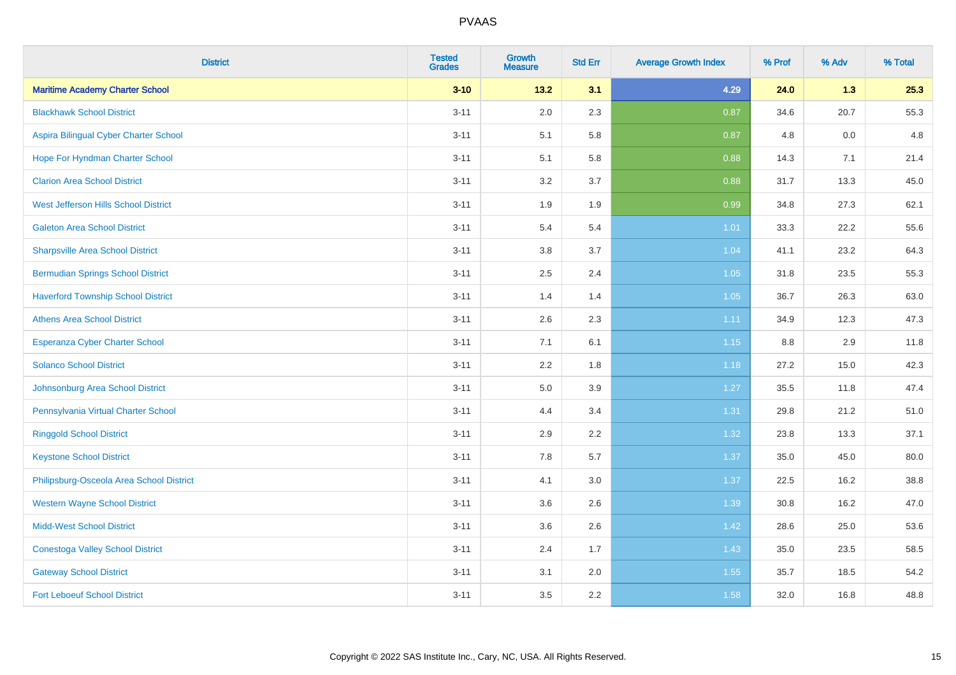| <b>District</b>                           | <b>Tested</b><br><b>Grades</b> | <b>Growth</b><br><b>Measure</b> | <b>Std Err</b> | <b>Average Growth Index</b> | % Prof | % Adv | % Total |
|-------------------------------------------|--------------------------------|---------------------------------|----------------|-----------------------------|--------|-------|---------|
| <b>Maritime Academy Charter School</b>    | $3 - 10$                       | $13.2$                          | 3.1            | 4.29                        | 24.0   | 1.3   | 25.3    |
| <b>Blackhawk School District</b>          | $3 - 11$                       | 2.0                             | 2.3            | 0.87                        | 34.6   | 20.7  | 55.3    |
| Aspira Bilingual Cyber Charter School     | $3 - 11$                       | 5.1                             | 5.8            | 0.87                        | 4.8    | 0.0   | 4.8     |
| Hope For Hyndman Charter School           | $3 - 11$                       | 5.1                             | 5.8            | 0.88                        | 14.3   | 7.1   | 21.4    |
| <b>Clarion Area School District</b>       | $3 - 11$                       | 3.2                             | 3.7            | 0.88                        | 31.7   | 13.3  | 45.0    |
| West Jefferson Hills School District      | $3 - 11$                       | 1.9                             | 1.9            | 0.99                        | 34.8   | 27.3  | 62.1    |
| <b>Galeton Area School District</b>       | $3 - 11$                       | 5.4                             | 5.4            | 1.01                        | 33.3   | 22.2  | 55.6    |
| <b>Sharpsville Area School District</b>   | $3 - 11$                       | 3.8                             | 3.7            | 1.04                        | 41.1   | 23.2  | 64.3    |
| <b>Bermudian Springs School District</b>  | $3 - 11$                       | 2.5                             | 2.4            | 1.05                        | 31.8   | 23.5  | 55.3    |
| <b>Haverford Township School District</b> | $3 - 11$                       | 1.4                             | 1.4            | 1.05                        | 36.7   | 26.3  | 63.0    |
| <b>Athens Area School District</b>        | $3 - 11$                       | 2.6                             | 2.3            | 1.11                        | 34.9   | 12.3  | 47.3    |
| <b>Esperanza Cyber Charter School</b>     | $3 - 11$                       | 7.1                             | 6.1            | $1.15$                      | 8.8    | 2.9   | 11.8    |
| <b>Solanco School District</b>            | $3 - 11$                       | 2.2                             | 1.8            | 1.18                        | 27.2   | 15.0  | 42.3    |
| Johnsonburg Area School District          | $3 - 11$                       | $5.0\,$                         | 3.9            | 1.27                        | 35.5   | 11.8  | 47.4    |
| Pennsylvania Virtual Charter School       | $3 - 11$                       | 4.4                             | 3.4            | 1.31                        | 29.8   | 21.2  | 51.0    |
| <b>Ringgold School District</b>           | $3 - 11$                       | 2.9                             | 2.2            | 1.32                        | 23.8   | 13.3  | 37.1    |
| <b>Keystone School District</b>           | $3 - 11$                       | 7.8                             | 5.7            | 1.37                        | 35.0   | 45.0  | 80.0    |
| Philipsburg-Osceola Area School District  | $3 - 11$                       | 4.1                             | 3.0            | 1.37                        | 22.5   | 16.2  | 38.8    |
| <b>Western Wayne School District</b>      | $3 - 11$                       | 3.6                             | 2.6            | 1.39                        | 30.8   | 16.2  | 47.0    |
| <b>Midd-West School District</b>          | $3 - 11$                       | 3.6                             | 2.6            | 1.42                        | 28.6   | 25.0  | 53.6    |
| <b>Conestoga Valley School District</b>   | $3 - 11$                       | 2.4                             | 1.7            | 1.43                        | 35.0   | 23.5  | 58.5    |
| <b>Gateway School District</b>            | $3 - 11$                       | 3.1                             | 2.0            | 1.55                        | 35.7   | 18.5  | 54.2    |
| <b>Fort Leboeuf School District</b>       | $3 - 11$                       | 3.5                             | 2.2            | 1.58                        | 32.0   | 16.8  | 48.8    |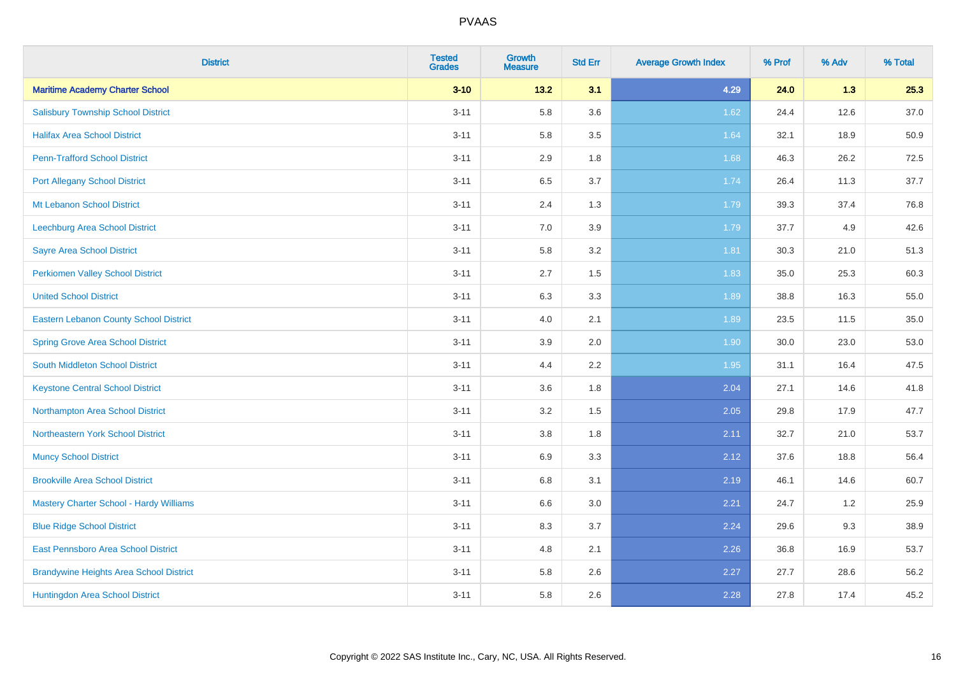| <b>District</b>                                | <b>Tested</b><br><b>Grades</b> | <b>Growth</b><br><b>Measure</b> | <b>Std Err</b> | <b>Average Growth Index</b> | % Prof | % Adv | % Total |
|------------------------------------------------|--------------------------------|---------------------------------|----------------|-----------------------------|--------|-------|---------|
| <b>Maritime Academy Charter School</b>         | $3 - 10$                       | 13.2                            | 3.1            | 4.29                        | 24.0   | 1.3   | 25.3    |
| <b>Salisbury Township School District</b>      | $3 - 11$                       | 5.8                             | 3.6            | 1.62                        | 24.4   | 12.6  | 37.0    |
| <b>Halifax Area School District</b>            | $3 - 11$                       | 5.8                             | 3.5            | 1.64                        | 32.1   | 18.9  | 50.9    |
| <b>Penn-Trafford School District</b>           | $3 - 11$                       | 2.9                             | 1.8            | 1.68                        | 46.3   | 26.2  | 72.5    |
| <b>Port Allegany School District</b>           | $3 - 11$                       | 6.5                             | 3.7            | 1.74                        | 26.4   | 11.3  | 37.7    |
| <b>Mt Lebanon School District</b>              | $3 - 11$                       | 2.4                             | 1.3            | 1.79                        | 39.3   | 37.4  | 76.8    |
| Leechburg Area School District                 | $3 - 11$                       | 7.0                             | 3.9            | 1.79                        | 37.7   | 4.9   | 42.6    |
| <b>Sayre Area School District</b>              | $3 - 11$                       | 5.8                             | 3.2            | 1.81                        | 30.3   | 21.0  | 51.3    |
| Perkiomen Valley School District               | $3 - 11$                       | 2.7                             | 1.5            | 1.83                        | 35.0   | 25.3  | 60.3    |
| <b>United School District</b>                  | $3 - 11$                       | 6.3                             | 3.3            | 1.89                        | 38.8   | 16.3  | 55.0    |
| Eastern Lebanon County School District         | $3 - 11$                       | 4.0                             | 2.1            | 1.89                        | 23.5   | 11.5  | 35.0    |
| <b>Spring Grove Area School District</b>       | $3 - 11$                       | 3.9                             | 2.0            | 1.90                        | 30.0   | 23.0  | 53.0    |
| South Middleton School District                | $3 - 11$                       | 4.4                             | 2.2            | 1.95                        | 31.1   | 16.4  | 47.5    |
| <b>Keystone Central School District</b>        | $3 - 11$                       | 3.6                             | 1.8            | 2.04                        | 27.1   | 14.6  | 41.8    |
| Northampton Area School District               | $3 - 11$                       | 3.2                             | 1.5            | 2.05                        | 29.8   | 17.9  | 47.7    |
| Northeastern York School District              | $3 - 11$                       | $3.8\,$                         | 1.8            | 2.11                        | 32.7   | 21.0  | 53.7    |
| <b>Muncy School District</b>                   | $3 - 11$                       | 6.9                             | 3.3            | 2.12                        | 37.6   | 18.8  | 56.4    |
| <b>Brookville Area School District</b>         | $3 - 11$                       | 6.8                             | 3.1            | 2.19                        | 46.1   | 14.6  | 60.7    |
| <b>Mastery Charter School - Hardy Williams</b> | $3 - 11$                       | $6.6\,$                         | 3.0            | 2.21                        | 24.7   | 1.2   | 25.9    |
| <b>Blue Ridge School District</b>              | $3 - 11$                       | 8.3                             | 3.7            | 2.24                        | 29.6   | 9.3   | 38.9    |
| East Pennsboro Area School District            | $3 - 11$                       | 4.8                             | 2.1            | 2.26                        | 36.8   | 16.9  | 53.7    |
| <b>Brandywine Heights Area School District</b> | $3 - 11$                       | 5.8                             | 2.6            | 2.27                        | 27.7   | 28.6  | 56.2    |
| Huntingdon Area School District                | $3 - 11$                       | 5.8                             | 2.6            | 2.28                        | 27.8   | 17.4  | 45.2    |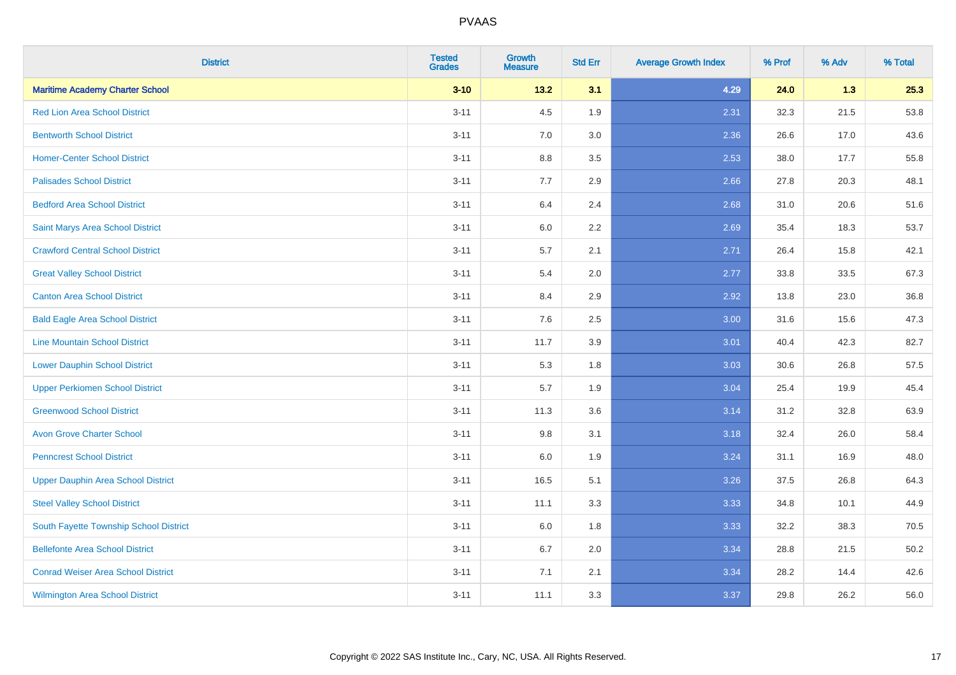| <b>District</b>                           | <b>Tested</b><br><b>Grades</b> | <b>Growth</b><br><b>Measure</b> | <b>Std Err</b> | <b>Average Growth Index</b> | % Prof | % Adv | % Total |
|-------------------------------------------|--------------------------------|---------------------------------|----------------|-----------------------------|--------|-------|---------|
| <b>Maritime Academy Charter School</b>    | $3 - 10$                       | 13.2                            | 3.1            | 4.29                        | 24.0   | 1.3   | 25.3    |
| <b>Red Lion Area School District</b>      | $3 - 11$                       | 4.5                             | 1.9            | 2.31                        | 32.3   | 21.5  | 53.8    |
| <b>Bentworth School District</b>          | $3 - 11$                       | 7.0                             | 3.0            | 2.36                        | 26.6   | 17.0  | 43.6    |
| <b>Homer-Center School District</b>       | $3 - 11$                       | 8.8                             | 3.5            | 2.53                        | 38.0   | 17.7  | 55.8    |
| <b>Palisades School District</b>          | $3 - 11$                       | 7.7                             | 2.9            | 2.66                        | 27.8   | 20.3  | 48.1    |
| <b>Bedford Area School District</b>       | $3 - 11$                       | 6.4                             | 2.4            | 2.68                        | 31.0   | 20.6  | 51.6    |
| Saint Marys Area School District          | $3 - 11$                       | 6.0                             | 2.2            | 2.69                        | 35.4   | 18.3  | 53.7    |
| <b>Crawford Central School District</b>   | $3 - 11$                       | 5.7                             | 2.1            | 2.71                        | 26.4   | 15.8  | 42.1    |
| <b>Great Valley School District</b>       | $3 - 11$                       | 5.4                             | 2.0            | 2.77                        | 33.8   | 33.5  | 67.3    |
| <b>Canton Area School District</b>        | $3 - 11$                       | 8.4                             | 2.9            | 2.92                        | 13.8   | 23.0  | 36.8    |
| <b>Bald Eagle Area School District</b>    | $3 - 11$                       | 7.6                             | 2.5            | 3.00                        | 31.6   | 15.6  | 47.3    |
| <b>Line Mountain School District</b>      | $3 - 11$                       | 11.7                            | 3.9            | 3.01                        | 40.4   | 42.3  | 82.7    |
| <b>Lower Dauphin School District</b>      | $3 - 11$                       | 5.3                             | 1.8            | 3.03                        | 30.6   | 26.8  | 57.5    |
| <b>Upper Perkiomen School District</b>    | $3 - 11$                       | 5.7                             | 1.9            | 3.04                        | 25.4   | 19.9  | 45.4    |
| <b>Greenwood School District</b>          | $3 - 11$                       | 11.3                            | 3.6            | 3.14                        | 31.2   | 32.8  | 63.9    |
| <b>Avon Grove Charter School</b>          | $3 - 11$                       | 9.8                             | 3.1            | 3.18                        | 32.4   | 26.0  | 58.4    |
| <b>Penncrest School District</b>          | $3 - 11$                       | 6.0                             | 1.9            | 3.24                        | 31.1   | 16.9  | 48.0    |
| <b>Upper Dauphin Area School District</b> | $3 - 11$                       | 16.5                            | 5.1            | 3.26                        | 37.5   | 26.8  | 64.3    |
| <b>Steel Valley School District</b>       | $3 - 11$                       | 11.1                            | 3.3            | 3.33                        | 34.8   | 10.1  | 44.9    |
| South Fayette Township School District    | $3 - 11$                       | 6.0                             | 1.8            | 3.33                        | 32.2   | 38.3  | 70.5    |
| <b>Bellefonte Area School District</b>    | $3 - 11$                       | 6.7                             | 2.0            | 3.34                        | 28.8   | 21.5  | 50.2    |
| <b>Conrad Weiser Area School District</b> | $3 - 11$                       | 7.1                             | 2.1            | 3.34                        | 28.2   | 14.4  | 42.6    |
| <b>Wilmington Area School District</b>    | $3 - 11$                       | 11.1                            | 3.3            | 3.37                        | 29.8   | 26.2  | 56.0    |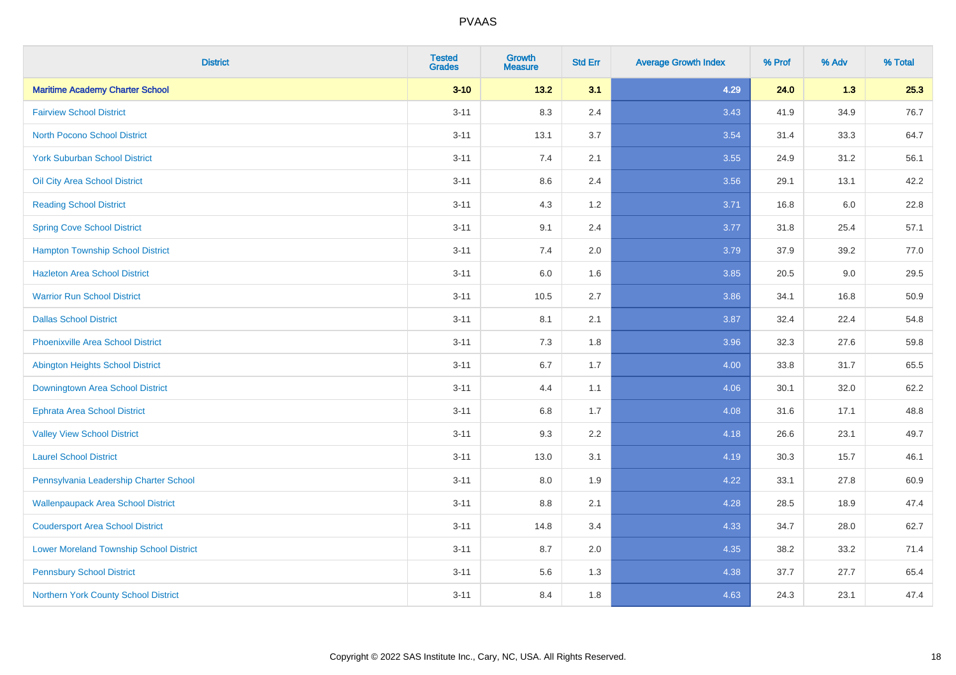| <b>District</b>                                | <b>Tested</b><br><b>Grades</b> | <b>Growth</b><br><b>Measure</b> | <b>Std Err</b> | <b>Average Growth Index</b> | % Prof | % Adv | % Total |
|------------------------------------------------|--------------------------------|---------------------------------|----------------|-----------------------------|--------|-------|---------|
| <b>Maritime Academy Charter School</b>         | $3 - 10$                       | $13.2$                          | 3.1            | 4.29                        | 24.0   | 1.3   | 25.3    |
| <b>Fairview School District</b>                | $3 - 11$                       | 8.3                             | 2.4            | 3.43                        | 41.9   | 34.9  | 76.7    |
| <b>North Pocono School District</b>            | $3 - 11$                       | 13.1                            | 3.7            | 3.54                        | 31.4   | 33.3  | 64.7    |
| <b>York Suburban School District</b>           | $3 - 11$                       | 7.4                             | 2.1            | 3.55                        | 24.9   | 31.2  | 56.1    |
| Oil City Area School District                  | $3 - 11$                       | 8.6                             | 2.4            | 3.56                        | 29.1   | 13.1  | 42.2    |
| <b>Reading School District</b>                 | $3 - 11$                       | 4.3                             | 1.2            | 3.71                        | 16.8   | 6.0   | 22.8    |
| <b>Spring Cove School District</b>             | $3 - 11$                       | 9.1                             | 2.4            | 3.77                        | 31.8   | 25.4  | 57.1    |
| <b>Hampton Township School District</b>        | $3 - 11$                       | 7.4                             | 2.0            | 3.79                        | 37.9   | 39.2  | 77.0    |
| <b>Hazleton Area School District</b>           | $3 - 11$                       | 6.0                             | 1.6            | 3.85                        | 20.5   | 9.0   | 29.5    |
| <b>Warrior Run School District</b>             | $3 - 11$                       | 10.5                            | 2.7            | 3.86                        | 34.1   | 16.8  | 50.9    |
| <b>Dallas School District</b>                  | $3 - 11$                       | 8.1                             | 2.1            | 3.87                        | 32.4   | 22.4  | 54.8    |
| <b>Phoenixville Area School District</b>       | $3 - 11$                       | 7.3                             | 1.8            | 3.96                        | 32.3   | 27.6  | 59.8    |
| <b>Abington Heights School District</b>        | $3 - 11$                       | 6.7                             | 1.7            | 4.00                        | 33.8   | 31.7  | 65.5    |
| Downingtown Area School District               | $3 - 11$                       | 4.4                             | 1.1            | 4.06                        | 30.1   | 32.0  | 62.2    |
| <b>Ephrata Area School District</b>            | $3 - 11$                       | 6.8                             | 1.7            | 4.08                        | 31.6   | 17.1  | 48.8    |
| <b>Valley View School District</b>             | $3 - 11$                       | 9.3                             | 2.2            | 4.18                        | 26.6   | 23.1  | 49.7    |
| <b>Laurel School District</b>                  | $3 - 11$                       | 13.0                            | 3.1            | 4.19                        | 30.3   | 15.7  | 46.1    |
| Pennsylvania Leadership Charter School         | $3 - 11$                       | 8.0                             | 1.9            | 4.22                        | 33.1   | 27.8  | 60.9    |
| <b>Wallenpaupack Area School District</b>      | $3 - 11$                       | 8.8                             | 2.1            | 4.28                        | 28.5   | 18.9  | 47.4    |
| <b>Coudersport Area School District</b>        | $3 - 11$                       | 14.8                            | 3.4            | 4.33                        | 34.7   | 28.0  | 62.7    |
| <b>Lower Moreland Township School District</b> | $3 - 11$                       | 8.7                             | 2.0            | 4.35                        | 38.2   | 33.2  | 71.4    |
| <b>Pennsbury School District</b>               | $3 - 11$                       | 5.6                             | 1.3            | 4.38                        | 37.7   | 27.7  | 65.4    |
| Northern York County School District           | $3 - 11$                       | 8.4                             | 1.8            | 4.63                        | 24.3   | 23.1  | 47.4    |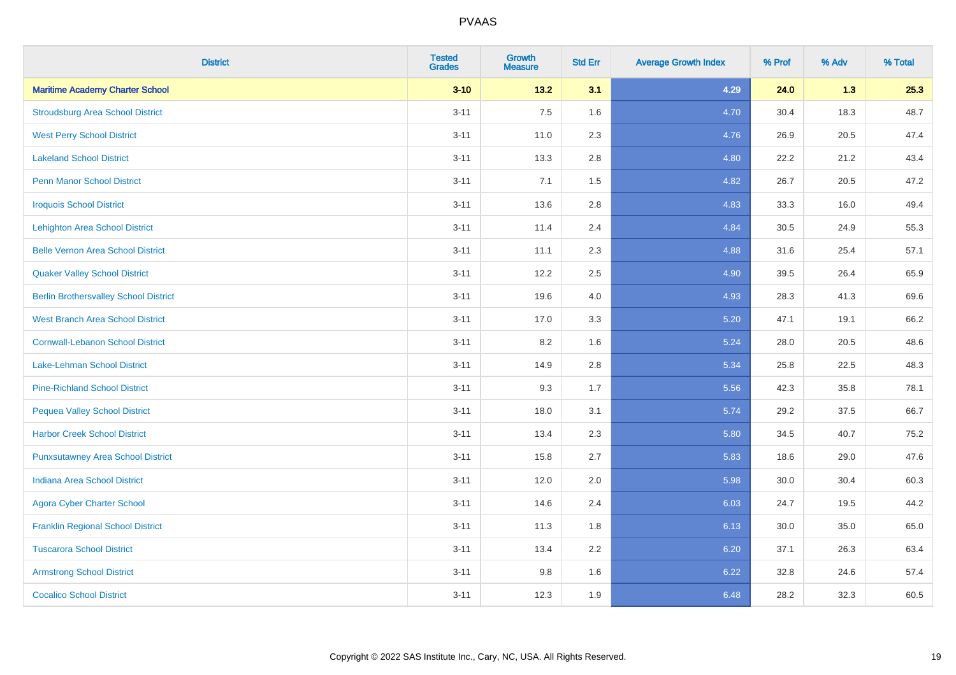| <b>District</b>                              | <b>Tested</b><br><b>Grades</b> | <b>Growth</b><br><b>Measure</b> | <b>Std Err</b> | <b>Average Growth Index</b> | % Prof | % Adv | % Total |
|----------------------------------------------|--------------------------------|---------------------------------|----------------|-----------------------------|--------|-------|---------|
| <b>Maritime Academy Charter School</b>       | $3 - 10$                       | 13.2                            | 3.1            | 4.29                        | 24.0   | 1.3   | 25.3    |
| <b>Stroudsburg Area School District</b>      | $3 - 11$                       | 7.5                             | 1.6            | 4.70                        | 30.4   | 18.3  | 48.7    |
| <b>West Perry School District</b>            | $3 - 11$                       | 11.0                            | 2.3            | 4.76                        | 26.9   | 20.5  | 47.4    |
| <b>Lakeland School District</b>              | $3 - 11$                       | 13.3                            | 2.8            | 4.80                        | 22.2   | 21.2  | 43.4    |
| <b>Penn Manor School District</b>            | $3 - 11$                       | 7.1                             | 1.5            | 4.82                        | 26.7   | 20.5  | 47.2    |
| <b>Iroquois School District</b>              | $3 - 11$                       | 13.6                            | 2.8            | 4.83                        | 33.3   | 16.0  | 49.4    |
| <b>Lehighton Area School District</b>        | $3 - 11$                       | 11.4                            | 2.4            | 4.84                        | 30.5   | 24.9  | 55.3    |
| <b>Belle Vernon Area School District</b>     | $3 - 11$                       | 11.1                            | 2.3            | 4.88                        | 31.6   | 25.4  | 57.1    |
| <b>Quaker Valley School District</b>         | $3 - 11$                       | 12.2                            | 2.5            | 4.90                        | 39.5   | 26.4  | 65.9    |
| <b>Berlin Brothersvalley School District</b> | $3 - 11$                       | 19.6                            | 4.0            | 4.93                        | 28.3   | 41.3  | 69.6    |
| <b>West Branch Area School District</b>      | $3 - 11$                       | 17.0                            | 3.3            | 5.20                        | 47.1   | 19.1  | 66.2    |
| <b>Cornwall-Lebanon School District</b>      | $3 - 11$                       | 8.2                             | 1.6            | 5.24                        | 28.0   | 20.5  | 48.6    |
| Lake-Lehman School District                  | $3 - 11$                       | 14.9                            | 2.8            | 5.34                        | 25.8   | 22.5  | 48.3    |
| <b>Pine-Richland School District</b>         | $3 - 11$                       | 9.3                             | 1.7            | 5.56                        | 42.3   | 35.8  | 78.1    |
| <b>Pequea Valley School District</b>         | $3 - 11$                       | 18.0                            | 3.1            | 5.74                        | 29.2   | 37.5  | 66.7    |
| <b>Harbor Creek School District</b>          | $3 - 11$                       | 13.4                            | 2.3            | 5.80                        | 34.5   | 40.7  | 75.2    |
| <b>Punxsutawney Area School District</b>     | $3 - 11$                       | 15.8                            | 2.7            | 5.83                        | 18.6   | 29.0  | 47.6    |
| <b>Indiana Area School District</b>          | $3 - 11$                       | 12.0                            | 2.0            | 5.98                        | 30.0   | 30.4  | 60.3    |
| <b>Agora Cyber Charter School</b>            | $3 - 11$                       | 14.6                            | 2.4            | 6.03                        | 24.7   | 19.5  | 44.2    |
| <b>Franklin Regional School District</b>     | $3 - 11$                       | 11.3                            | 1.8            | 6.13                        | 30.0   | 35.0  | 65.0    |
| <b>Tuscarora School District</b>             | $3 - 11$                       | 13.4                            | 2.2            | 6.20                        | 37.1   | 26.3  | 63.4    |
| <b>Armstrong School District</b>             | $3 - 11$                       | 9.8                             | 1.6            | 6.22                        | 32.8   | 24.6  | 57.4    |
| <b>Cocalico School District</b>              | $3 - 11$                       | 12.3                            | 1.9            | 6.48                        | 28.2   | 32.3  | 60.5    |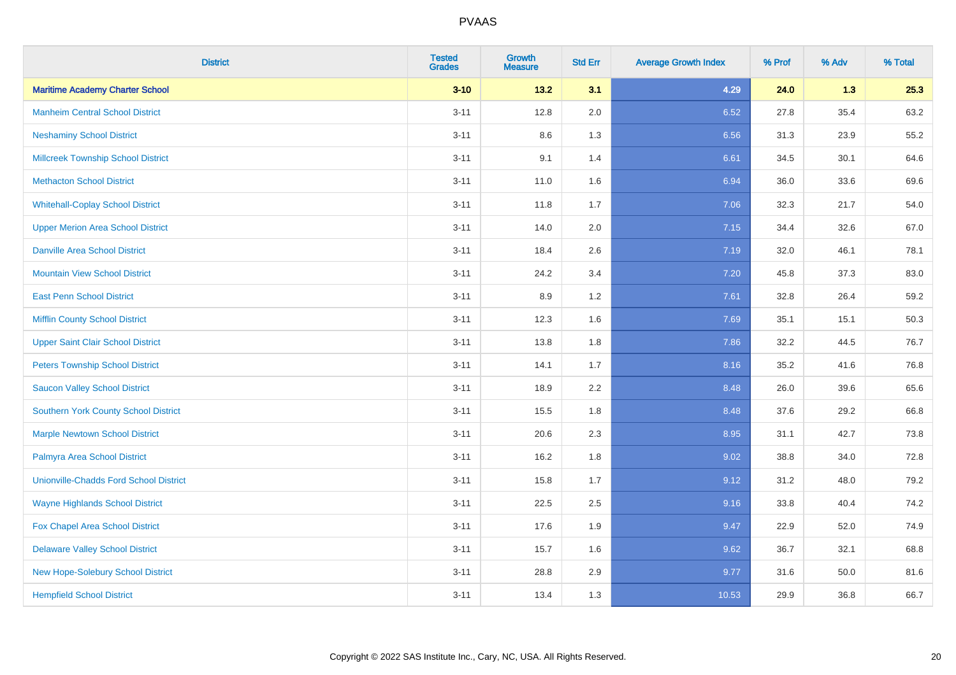| <b>District</b>                               | <b>Tested</b><br><b>Grades</b> | <b>Growth</b><br><b>Measure</b> | <b>Std Err</b> | <b>Average Growth Index</b> | % Prof | % Adv | % Total |
|-----------------------------------------------|--------------------------------|---------------------------------|----------------|-----------------------------|--------|-------|---------|
| <b>Maritime Academy Charter School</b>        | $3 - 10$                       | 13.2                            | 3.1            | 4.29                        | 24.0   | 1.3   | 25.3    |
| <b>Manheim Central School District</b>        | $3 - 11$                       | 12.8                            | 2.0            | 6.52                        | 27.8   | 35.4  | 63.2    |
| <b>Neshaminy School District</b>              | $3 - 11$                       | 8.6                             | 1.3            | 6.56                        | 31.3   | 23.9  | 55.2    |
| <b>Millcreek Township School District</b>     | $3 - 11$                       | 9.1                             | 1.4            | 6.61                        | 34.5   | 30.1  | 64.6    |
| <b>Methacton School District</b>              | $3 - 11$                       | 11.0                            | 1.6            | 6.94                        | 36.0   | 33.6  | 69.6    |
| <b>Whitehall-Coplay School District</b>       | $3 - 11$                       | 11.8                            | 1.7            | 7.06                        | 32.3   | 21.7  | 54.0    |
| <b>Upper Merion Area School District</b>      | $3 - 11$                       | 14.0                            | 2.0            | 7.15                        | 34.4   | 32.6  | 67.0    |
| <b>Danville Area School District</b>          | $3 - 11$                       | 18.4                            | 2.6            | 7.19                        | 32.0   | 46.1  | 78.1    |
| <b>Mountain View School District</b>          | $3 - 11$                       | 24.2                            | 3.4            | 7.20                        | 45.8   | 37.3  | 83.0    |
| <b>East Penn School District</b>              | $3 - 11$                       | 8.9                             | 1.2            | 7.61                        | 32.8   | 26.4  | 59.2    |
| <b>Mifflin County School District</b>         | $3 - 11$                       | 12.3                            | 1.6            | 7.69                        | 35.1   | 15.1  | 50.3    |
| <b>Upper Saint Clair School District</b>      | $3 - 11$                       | 13.8                            | 1.8            | 7.86                        | 32.2   | 44.5  | 76.7    |
| <b>Peters Township School District</b>        | $3 - 11$                       | 14.1                            | 1.7            | 8.16                        | 35.2   | 41.6  | 76.8    |
| <b>Saucon Valley School District</b>          | $3 - 11$                       | 18.9                            | 2.2            | 8.48                        | 26.0   | 39.6  | 65.6    |
| <b>Southern York County School District</b>   | $3 - 11$                       | 15.5                            | 1.8            | 8.48                        | 37.6   | 29.2  | 66.8    |
| <b>Marple Newtown School District</b>         | $3 - 11$                       | 20.6                            | 2.3            | 8.95                        | 31.1   | 42.7  | 73.8    |
| Palmyra Area School District                  | $3 - 11$                       | 16.2                            | 1.8            | 9.02                        | 38.8   | 34.0  | 72.8    |
| <b>Unionville-Chadds Ford School District</b> | $3 - 11$                       | 15.8                            | 1.7            | 9.12                        | 31.2   | 48.0  | 79.2    |
| <b>Wayne Highlands School District</b>        | $3 - 11$                       | 22.5                            | 2.5            | 9.16                        | 33.8   | 40.4  | 74.2    |
| Fox Chapel Area School District               | $3 - 11$                       | 17.6                            | 1.9            | 9.47                        | 22.9   | 52.0  | 74.9    |
| <b>Delaware Valley School District</b>        | $3 - 11$                       | 15.7                            | 1.6            | 9.62                        | 36.7   | 32.1  | 68.8    |
| New Hope-Solebury School District             | $3 - 11$                       | 28.8                            | 2.9            | 9.77                        | 31.6   | 50.0  | 81.6    |
| <b>Hempfield School District</b>              | $3 - 11$                       | 13.4                            | 1.3            | 10.53                       | 29.9   | 36.8  | 66.7    |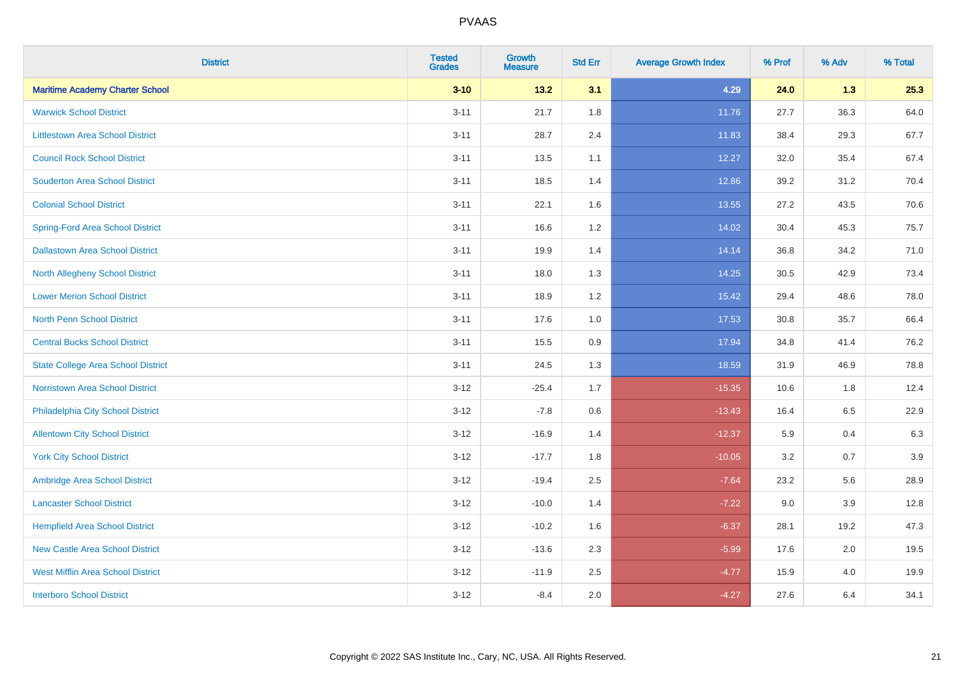| <b>District</b>                           | <b>Tested</b><br><b>Grades</b> | <b>Growth</b><br><b>Measure</b> | <b>Std Err</b> | <b>Average Growth Index</b> | % Prof | % Adv | % Total |
|-------------------------------------------|--------------------------------|---------------------------------|----------------|-----------------------------|--------|-------|---------|
| <b>Maritime Academy Charter School</b>    | $3 - 10$                       | $13.2$                          | 3.1            | 4.29                        | 24.0   | 1.3   | 25.3    |
| <b>Warwick School District</b>            | $3 - 11$                       | 21.7                            | 1.8            | 11.76                       | 27.7   | 36.3  | 64.0    |
| <b>Littlestown Area School District</b>   | $3 - 11$                       | 28.7                            | 2.4            | 11.83                       | 38.4   | 29.3  | 67.7    |
| <b>Council Rock School District</b>       | $3 - 11$                       | 13.5                            | 1.1            | 12.27                       | 32.0   | 35.4  | 67.4    |
| <b>Souderton Area School District</b>     | $3 - 11$                       | 18.5                            | 1.4            | 12.86                       | 39.2   | 31.2  | 70.4    |
| <b>Colonial School District</b>           | $3 - 11$                       | 22.1                            | 1.6            | 13.55                       | 27.2   | 43.5  | 70.6    |
| <b>Spring-Ford Area School District</b>   | $3 - 11$                       | 16.6                            | 1.2            | 14.02                       | 30.4   | 45.3  | 75.7    |
| <b>Dallastown Area School District</b>    | $3 - 11$                       | 19.9                            | 1.4            | 14.14                       | 36.8   | 34.2  | 71.0    |
| <b>North Allegheny School District</b>    | $3 - 11$                       | 18.0                            | 1.3            | 14.25                       | 30.5   | 42.9  | 73.4    |
| <b>Lower Merion School District</b>       | $3 - 11$                       | 18.9                            | 1.2            | 15.42                       | 29.4   | 48.6  | 78.0    |
| <b>North Penn School District</b>         | $3 - 11$                       | 17.6                            | 1.0            | 17.53                       | 30.8   | 35.7  | 66.4    |
| <b>Central Bucks School District</b>      | $3 - 11$                       | 15.5                            | 0.9            | 17.94                       | 34.8   | 41.4  | 76.2    |
| <b>State College Area School District</b> | $3 - 11$                       | 24.5                            | 1.3            | 18.59                       | 31.9   | 46.9  | 78.8    |
| <b>Norristown Area School District</b>    | $3 - 12$                       | $-25.4$                         | 1.7            | $-15.35$                    | 10.6   | 1.8   | 12.4    |
| Philadelphia City School District         | $3 - 12$                       | $-7.8$                          | 0.6            | $-13.43$                    | 16.4   | 6.5   | 22.9    |
| <b>Allentown City School District</b>     | $3 - 12$                       | $-16.9$                         | 1.4            | $-12.37$                    | 5.9    | 0.4   | 6.3     |
| <b>York City School District</b>          | $3 - 12$                       | $-17.7$                         | 1.8            | $-10.05$                    | 3.2    | 0.7   | 3.9     |
| Ambridge Area School District             | $3 - 12$                       | $-19.4$                         | 2.5            | $-7.64$                     | 23.2   | 5.6   | 28.9    |
| <b>Lancaster School District</b>          | $3 - 12$                       | $-10.0$                         | 1.4            | $-7.22$                     | 9.0    | 3.9   | 12.8    |
| <b>Hempfield Area School District</b>     | $3 - 12$                       | $-10.2$                         | 1.6            | $-6.37$                     | 28.1   | 19.2  | 47.3    |
| <b>New Castle Area School District</b>    | $3 - 12$                       | $-13.6$                         | 2.3            | $-5.99$                     | 17.6   | 2.0   | 19.5    |
| <b>West Mifflin Area School District</b>  | $3 - 12$                       | $-11.9$                         | 2.5            | $-4.77$                     | 15.9   | 4.0   | 19.9    |
| <b>Interboro School District</b>          | $3 - 12$                       | $-8.4$                          | 2.0            | $-4.27$                     | 27.6   | 6.4   | 34.1    |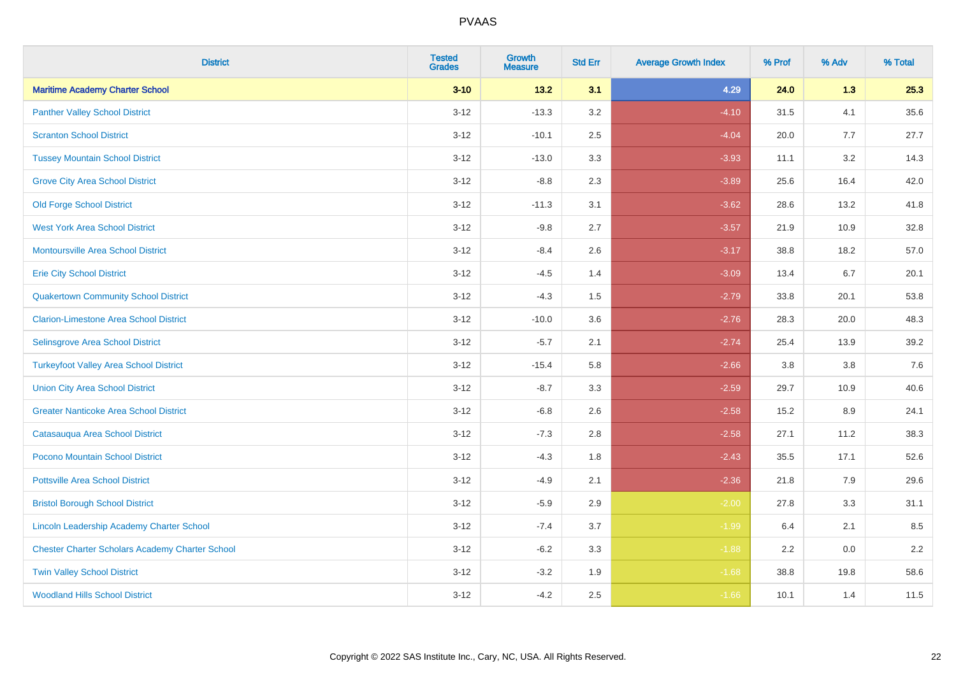| <b>District</b>                                        | <b>Tested</b><br><b>Grades</b> | <b>Growth</b><br><b>Measure</b> | <b>Std Err</b> | <b>Average Growth Index</b> | % Prof | % Adv   | % Total |
|--------------------------------------------------------|--------------------------------|---------------------------------|----------------|-----------------------------|--------|---------|---------|
| <b>Maritime Academy Charter School</b>                 | $3 - 10$                       | 13.2                            | 3.1            | 4.29                        | 24.0   | 1.3     | 25.3    |
| <b>Panther Valley School District</b>                  | $3 - 12$                       | $-13.3$                         | 3.2            | $-4.10$                     | 31.5   | 4.1     | 35.6    |
| <b>Scranton School District</b>                        | $3 - 12$                       | $-10.1$                         | 2.5            | $-4.04$                     | 20.0   | 7.7     | 27.7    |
| <b>Tussey Mountain School District</b>                 | $3 - 12$                       | $-13.0$                         | 3.3            | $-3.93$                     | 11.1   | 3.2     | 14.3    |
| <b>Grove City Area School District</b>                 | $3 - 12$                       | $-8.8$                          | 2.3            | $-3.89$                     | 25.6   | 16.4    | 42.0    |
| <b>Old Forge School District</b>                       | $3 - 12$                       | $-11.3$                         | 3.1            | $-3.62$                     | 28.6   | 13.2    | 41.8    |
| <b>West York Area School District</b>                  | $3 - 12$                       | $-9.8$                          | 2.7            | $-3.57$                     | 21.9   | 10.9    | 32.8    |
| <b>Montoursville Area School District</b>              | $3 - 12$                       | $-8.4$                          | 2.6            | $-3.17$                     | 38.8   | 18.2    | 57.0    |
| <b>Erie City School District</b>                       | $3 - 12$                       | $-4.5$                          | 1.4            | $-3.09$                     | 13.4   | 6.7     | 20.1    |
| <b>Quakertown Community School District</b>            | $3 - 12$                       | $-4.3$                          | 1.5            | $-2.79$                     | 33.8   | 20.1    | 53.8    |
| <b>Clarion-Limestone Area School District</b>          | $3 - 12$                       | $-10.0$                         | 3.6            | $-2.76$                     | 28.3   | 20.0    | 48.3    |
| Selinsgrove Area School District                       | $3 - 12$                       | $-5.7$                          | 2.1            | $-2.74$                     | 25.4   | 13.9    | 39.2    |
| <b>Turkeyfoot Valley Area School District</b>          | $3 - 12$                       | $-15.4$                         | 5.8            | $-2.66$                     | 3.8    | $3.8\,$ | 7.6     |
| <b>Union City Area School District</b>                 | $3 - 12$                       | $-8.7$                          | 3.3            | $-2.59$                     | 29.7   | 10.9    | 40.6    |
| <b>Greater Nanticoke Area School District</b>          | $3 - 12$                       | $-6.8$                          | 2.6            | $-2.58$                     | 15.2   | 8.9     | 24.1    |
| Catasauqua Area School District                        | $3 - 12$                       | $-7.3$                          | 2.8            | $-2.58$                     | 27.1   | 11.2    | 38.3    |
| Pocono Mountain School District                        | $3 - 12$                       | $-4.3$                          | 1.8            | $-2.43$                     | 35.5   | 17.1    | 52.6    |
| <b>Pottsville Area School District</b>                 | $3 - 12$                       | $-4.9$                          | 2.1            | $-2.36$                     | 21.8   | 7.9     | 29.6    |
| <b>Bristol Borough School District</b>                 | $3 - 12$                       | $-5.9$                          | 2.9            | $-2.00$                     | 27.8   | 3.3     | 31.1    |
| Lincoln Leadership Academy Charter School              | $3 - 12$                       | $-7.4$                          | 3.7            | $-1.99$                     | 6.4    | 2.1     | 8.5     |
| <b>Chester Charter Scholars Academy Charter School</b> | $3 - 12$                       | $-6.2$                          | 3.3            | $-1.88$                     | 2.2    | 0.0     | 2.2     |
| <b>Twin Valley School District</b>                     | $3 - 12$                       | $-3.2$                          | 1.9            | $-1.68$                     | 38.8   | 19.8    | 58.6    |
| <b>Woodland Hills School District</b>                  | $3 - 12$                       | $-4.2$                          | 2.5            | $-1.66$                     | 10.1   | 1.4     | 11.5    |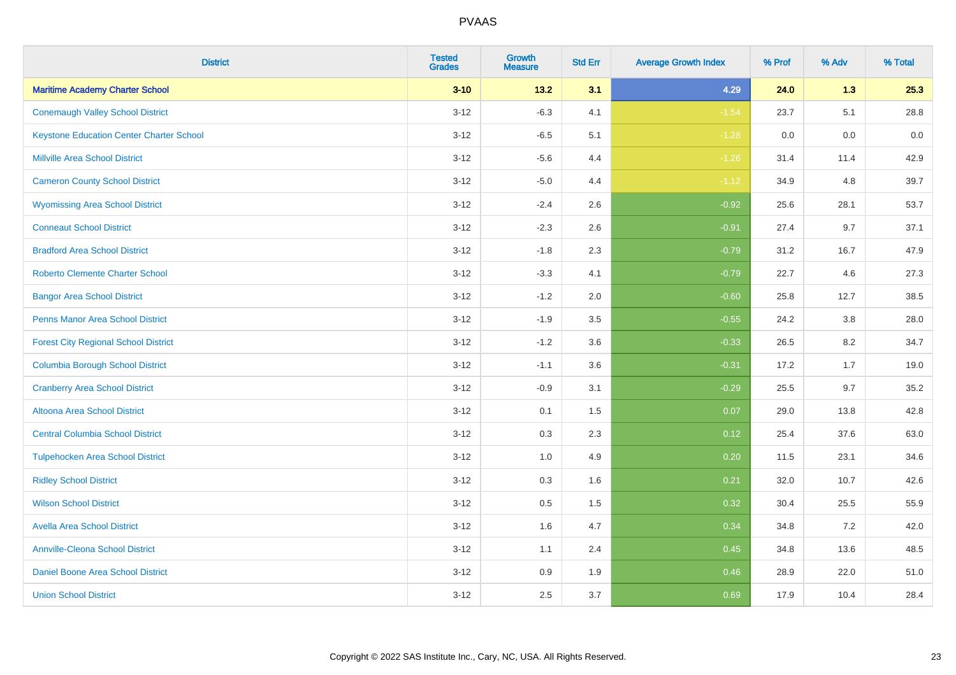| <b>District</b>                                 | <b>Tested</b><br><b>Grades</b> | <b>Growth</b><br><b>Measure</b> | <b>Std Err</b> | <b>Average Growth Index</b> | % Prof | % Adv | % Total |
|-------------------------------------------------|--------------------------------|---------------------------------|----------------|-----------------------------|--------|-------|---------|
| <b>Maritime Academy Charter School</b>          | $3 - 10$                       | 13.2                            | 3.1            | 4.29                        | 24.0   | 1.3   | 25.3    |
| <b>Conemaugh Valley School District</b>         | $3 - 12$                       | $-6.3$                          | 4.1            | $-1.54$                     | 23.7   | 5.1   | 28.8    |
| <b>Keystone Education Center Charter School</b> | $3 - 12$                       | $-6.5$                          | 5.1            | $-1.28$                     | 0.0    | 0.0   | 0.0     |
| <b>Millville Area School District</b>           | $3 - 12$                       | $-5.6$                          | 4.4            | $-1.26$                     | 31.4   | 11.4  | 42.9    |
| <b>Cameron County School District</b>           | $3 - 12$                       | $-5.0$                          | 4.4            | $-1.12$                     | 34.9   | 4.8   | 39.7    |
| <b>Wyomissing Area School District</b>          | $3 - 12$                       | $-2.4$                          | 2.6            | $-0.92$                     | 25.6   | 28.1  | 53.7    |
| <b>Conneaut School District</b>                 | $3 - 12$                       | $-2.3$                          | 2.6            | $-0.91$                     | 27.4   | 9.7   | 37.1    |
| <b>Bradford Area School District</b>            | $3 - 12$                       | $-1.8$                          | 2.3            | $-0.79$                     | 31.2   | 16.7  | 47.9    |
| <b>Roberto Clemente Charter School</b>          | $3 - 12$                       | $-3.3$                          | 4.1            | $-0.79$                     | 22.7   | 4.6   | 27.3    |
| <b>Bangor Area School District</b>              | $3 - 12$                       | $-1.2$                          | 2.0            | $-0.60$                     | 25.8   | 12.7  | 38.5    |
| Penns Manor Area School District                | $3-12$                         | $-1.9$                          | 3.5            | $-0.55$                     | 24.2   | 3.8   | 28.0    |
| <b>Forest City Regional School District</b>     | $3 - 12$                       | $-1.2$                          | 3.6            | $-0.33$                     | 26.5   | 8.2   | 34.7    |
| <b>Columbia Borough School District</b>         | $3 - 12$                       | $-1.1$                          | 3.6            | $-0.31$                     | 17.2   | 1.7   | 19.0    |
| <b>Cranberry Area School District</b>           | $3-12$                         | $-0.9$                          | 3.1            | $-0.29$                     | 25.5   | 9.7   | 35.2    |
| Altoona Area School District                    | $3 - 12$                       | 0.1                             | 1.5            | 0.07                        | 29.0   | 13.8  | 42.8    |
| <b>Central Columbia School District</b>         | $3 - 12$                       | 0.3                             | 2.3            | 0.12                        | 25.4   | 37.6  | 63.0    |
| <b>Tulpehocken Area School District</b>         | $3 - 12$                       | 1.0                             | 4.9            | 0.20                        | 11.5   | 23.1  | 34.6    |
| <b>Ridley School District</b>                   | $3 - 12$                       | 0.3                             | 1.6            | 0.21                        | 32.0   | 10.7  | 42.6    |
| <b>Wilson School District</b>                   | $3 - 12$                       | $0.5\,$                         | 1.5            | 0.32                        | 30.4   | 25.5  | 55.9    |
| <b>Avella Area School District</b>              | $3 - 12$                       | 1.6                             | 4.7            | 0.34                        | 34.8   | 7.2   | 42.0    |
| <b>Annville-Cleona School District</b>          | $3 - 12$                       | 1.1                             | 2.4            | 0.45                        | 34.8   | 13.6  | 48.5    |
| Daniel Boone Area School District               | $3 - 12$                       | $0.9\,$                         | 1.9            | 0.46                        | 28.9   | 22.0  | 51.0    |
| <b>Union School District</b>                    | $3-12$                         | 2.5                             | 3.7            | 0.69                        | 17.9   | 10.4  | 28.4    |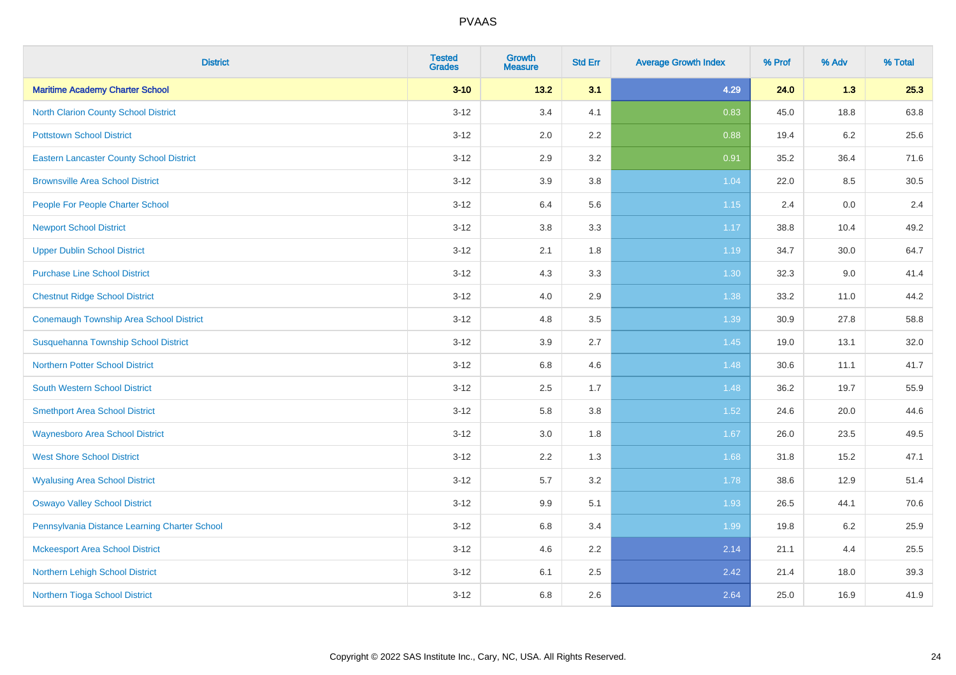| <b>District</b>                                 | <b>Tested</b><br><b>Grades</b> | <b>Growth</b><br><b>Measure</b> | <b>Std Err</b> | <b>Average Growth Index</b> | % Prof | % Adv   | % Total |
|-------------------------------------------------|--------------------------------|---------------------------------|----------------|-----------------------------|--------|---------|---------|
| <b>Maritime Academy Charter School</b>          | $3 - 10$                       | 13.2                            | 3.1            | 4.29                        | 24.0   | 1.3     | 25.3    |
| <b>North Clarion County School District</b>     | $3 - 12$                       | 3.4                             | 4.1            | 0.83                        | 45.0   | 18.8    | 63.8    |
| <b>Pottstown School District</b>                | $3 - 12$                       | 2.0                             | 2.2            | 0.88                        | 19.4   | $6.2\,$ | 25.6    |
| <b>Eastern Lancaster County School District</b> | $3-12$                         | 2.9                             | 3.2            | 0.91                        | 35.2   | 36.4    | 71.6    |
| <b>Brownsville Area School District</b>         | $3 - 12$                       | 3.9                             | 3.8            | 1.04                        | 22.0   | 8.5     | 30.5    |
| People For People Charter School                | $3 - 12$                       | 6.4                             | 5.6            | 1.15                        | 2.4    | 0.0     | 2.4     |
| <b>Newport School District</b>                  | $3-12$                         | $3.8\,$                         | 3.3            | 1.17                        | 38.8   | 10.4    | 49.2    |
| <b>Upper Dublin School District</b>             | $3 - 12$                       | 2.1                             | 1.8            | 1.19                        | 34.7   | 30.0    | 64.7    |
| <b>Purchase Line School District</b>            | $3 - 12$                       | 4.3                             | 3.3            | 1.30                        | 32.3   | 9.0     | 41.4    |
| <b>Chestnut Ridge School District</b>           | $3 - 12$                       | 4.0                             | 2.9            | 1.38                        | 33.2   | 11.0    | 44.2    |
| <b>Conemaugh Township Area School District</b>  | $3 - 12$                       | 4.8                             | 3.5            | 1.39                        | 30.9   | 27.8    | 58.8    |
| Susquehanna Township School District            | $3 - 12$                       | 3.9                             | 2.7            | 1.45                        | 19.0   | 13.1    | 32.0    |
| <b>Northern Potter School District</b>          | $3 - 12$                       | 6.8                             | 4.6            | 1.48                        | 30.6   | 11.1    | 41.7    |
| <b>South Western School District</b>            | $3-12$                         | 2.5                             | 1.7            | 1.48                        | 36.2   | 19.7    | 55.9    |
| <b>Smethport Area School District</b>           | $3 - 12$                       | 5.8                             | 3.8            | 1.52                        | 24.6   | 20.0    | 44.6    |
| <b>Waynesboro Area School District</b>          | $3-12$                         | 3.0                             | 1.8            | 1.67                        | 26.0   | 23.5    | 49.5    |
| <b>West Shore School District</b>               | $3-12$                         | 2.2                             | 1.3            | 1.68                        | 31.8   | 15.2    | 47.1    |
| <b>Wyalusing Area School District</b>           | $3 - 12$                       | 5.7                             | 3.2            | 1.78                        | 38.6   | 12.9    | 51.4    |
| <b>Oswayo Valley School District</b>            | $3 - 12$                       | 9.9                             | 5.1            | 1.93                        | 26.5   | 44.1    | 70.6    |
| Pennsylvania Distance Learning Charter School   | $3-12$                         | 6.8                             | 3.4            | 1.99                        | 19.8   | $6.2\,$ | 25.9    |
| <b>Mckeesport Area School District</b>          | $3-12$                         | 4.6                             | 2.2            | 2.14                        | 21.1   | 4.4     | 25.5    |
| Northern Lehigh School District                 | $3 - 12$                       | 6.1                             | 2.5            | 2.42                        | 21.4   | 18.0    | 39.3    |
| Northern Tioga School District                  | $3 - 12$                       | 6.8                             | 2.6            | 2.64                        | 25.0   | 16.9    | 41.9    |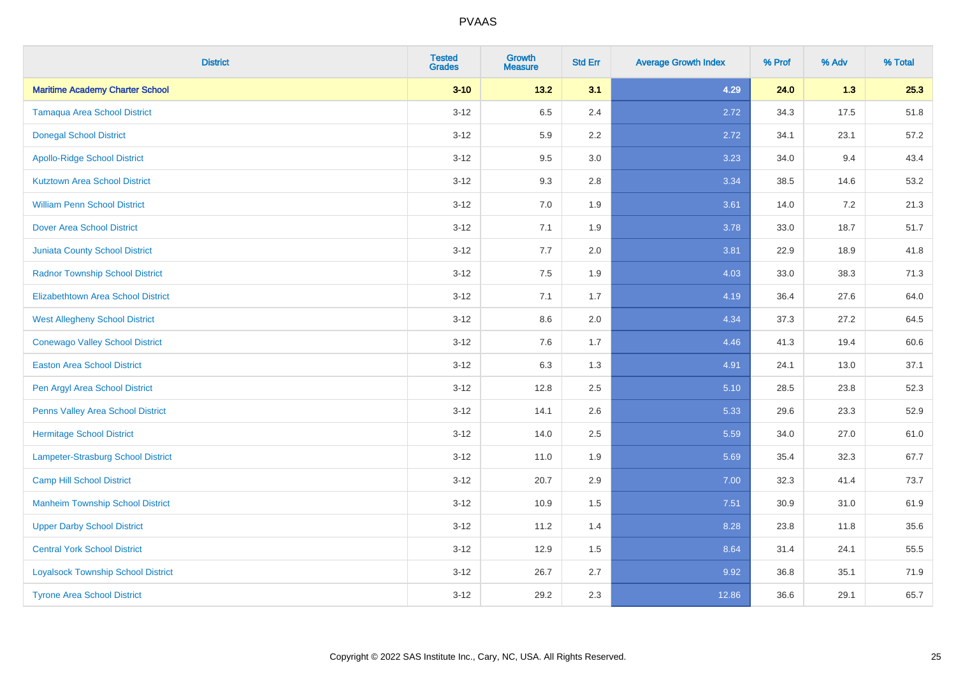| <b>District</b>                           | <b>Tested</b><br><b>Grades</b> | <b>Growth</b><br><b>Measure</b> | <b>Std Err</b> | <b>Average Growth Index</b> | % Prof | % Adv | % Total |
|-------------------------------------------|--------------------------------|---------------------------------|----------------|-----------------------------|--------|-------|---------|
| <b>Maritime Academy Charter School</b>    | $3 - 10$                       | $13.2$                          | 3.1            | 4.29                        | 24.0   | 1.3   | 25.3    |
| <b>Tamaqua Area School District</b>       | $3 - 12$                       | 6.5                             | 2.4            | 2.72                        | 34.3   | 17.5  | 51.8    |
| <b>Donegal School District</b>            | $3 - 12$                       | 5.9                             | 2.2            | 2.72                        | 34.1   | 23.1  | 57.2    |
| <b>Apollo-Ridge School District</b>       | $3 - 12$                       | 9.5                             | 3.0            | 3.23                        | 34.0   | 9.4   | 43.4    |
| <b>Kutztown Area School District</b>      | $3 - 12$                       | 9.3                             | 2.8            | 3.34                        | 38.5   | 14.6  | 53.2    |
| <b>William Penn School District</b>       | $3 - 12$                       | 7.0                             | 1.9            | 3.61                        | 14.0   | 7.2   | 21.3    |
| <b>Dover Area School District</b>         | $3-12$                         | 7.1                             | 1.9            | 3.78                        | 33.0   | 18.7  | 51.7    |
| <b>Juniata County School District</b>     | $3 - 12$                       | 7.7                             | 2.0            | 3.81                        | 22.9   | 18.9  | 41.8    |
| <b>Radnor Township School District</b>    | $3 - 12$                       | 7.5                             | 1.9            | 4.03                        | 33.0   | 38.3  | 71.3    |
| <b>Elizabethtown Area School District</b> | $3 - 12$                       | 7.1                             | 1.7            | 4.19                        | 36.4   | 27.6  | 64.0    |
| <b>West Allegheny School District</b>     | $3 - 12$                       | 8.6                             | 2.0            | 4.34                        | 37.3   | 27.2  | 64.5    |
| <b>Conewago Valley School District</b>    | $3 - 12$                       | 7.6                             | 1.7            | 4.46                        | 41.3   | 19.4  | 60.6    |
| <b>Easton Area School District</b>        | $3 - 12$                       | 6.3                             | 1.3            | 4.91                        | 24.1   | 13.0  | 37.1    |
| Pen Argyl Area School District            | $3 - 12$                       | 12.8                            | 2.5            | 5.10                        | 28.5   | 23.8  | 52.3    |
| Penns Valley Area School District         | $3 - 12$                       | 14.1                            | 2.6            | 5.33                        | 29.6   | 23.3  | 52.9    |
| Hermitage School District                 | $3 - 12$                       | 14.0                            | 2.5            | 5.59                        | 34.0   | 27.0  | 61.0    |
| Lampeter-Strasburg School District        | $3 - 12$                       | 11.0                            | 1.9            | 5.69                        | 35.4   | 32.3  | 67.7    |
| <b>Camp Hill School District</b>          | $3 - 12$                       | 20.7                            | 2.9            | 7.00                        | 32.3   | 41.4  | 73.7    |
| <b>Manheim Township School District</b>   | $3 - 12$                       | 10.9                            | 1.5            | 7.51                        | 30.9   | 31.0  | 61.9    |
| <b>Upper Darby School District</b>        | $3 - 12$                       | 11.2                            | 1.4            | 8.28                        | 23.8   | 11.8  | 35.6    |
| <b>Central York School District</b>       | $3 - 12$                       | 12.9                            | 1.5            | 8.64                        | 31.4   | 24.1  | 55.5    |
| <b>Loyalsock Township School District</b> | $3 - 12$                       | 26.7                            | 2.7            | 9.92                        | 36.8   | 35.1  | 71.9    |
| <b>Tyrone Area School District</b>        | $3 - 12$                       | 29.2                            | 2.3            | 12.86                       | 36.6   | 29.1  | 65.7    |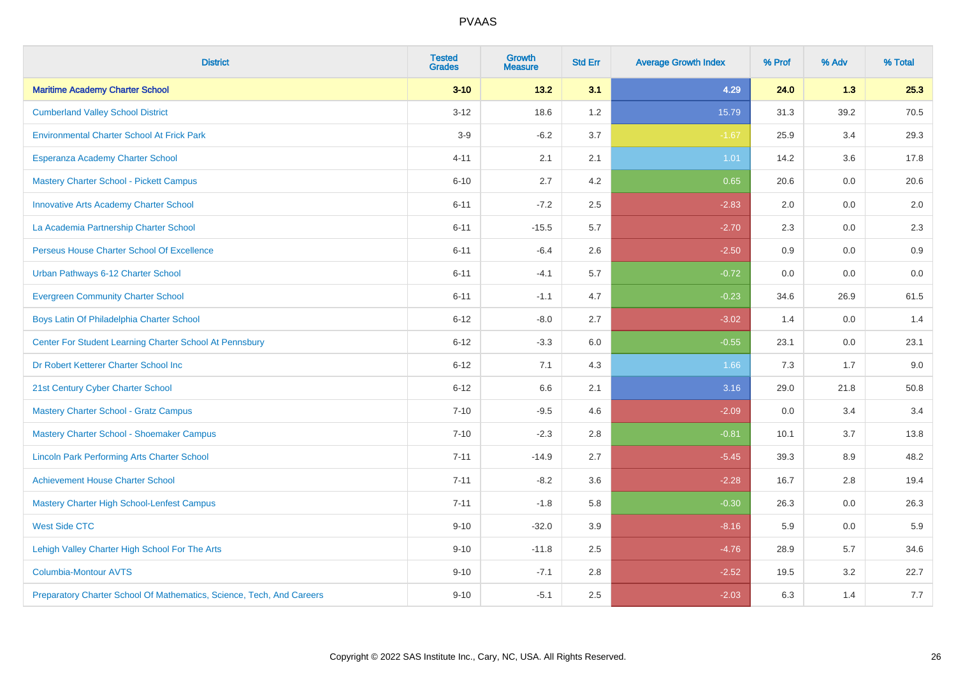| <b>District</b>                                                       | <b>Tested</b><br><b>Grades</b> | <b>Growth</b><br><b>Measure</b> | <b>Std Err</b> | <b>Average Growth Index</b> | % Prof | % Adv | % Total |
|-----------------------------------------------------------------------|--------------------------------|---------------------------------|----------------|-----------------------------|--------|-------|---------|
| <b>Maritime Academy Charter School</b>                                | $3 - 10$                       | 13.2                            | 3.1            | 4.29                        | 24.0   | 1.3   | 25.3    |
| <b>Cumberland Valley School District</b>                              | $3 - 12$                       | 18.6                            | 1.2            | 15.79                       | 31.3   | 39.2  | 70.5    |
| <b>Environmental Charter School At Frick Park</b>                     | $3-9$                          | $-6.2$                          | 3.7            | $-1.67$                     | 25.9   | 3.4   | 29.3    |
| Esperanza Academy Charter School                                      | $4 - 11$                       | 2.1                             | 2.1            | 1.01                        | 14.2   | 3.6   | 17.8    |
| <b>Mastery Charter School - Pickett Campus</b>                        | $6 - 10$                       | 2.7                             | 4.2            | 0.65                        | 20.6   | 0.0   | 20.6    |
| <b>Innovative Arts Academy Charter School</b>                         | $6 - 11$                       | $-7.2$                          | 2.5            | $-2.83$                     | 2.0    | 0.0   | 2.0     |
| La Academia Partnership Charter School                                | $6 - 11$                       | $-15.5$                         | 5.7            | $-2.70$                     | 2.3    | 0.0   | 2.3     |
| Perseus House Charter School Of Excellence                            | $6 - 11$                       | $-6.4$                          | 2.6            | $-2.50$                     | 0.9    | 0.0   | 0.9     |
| Urban Pathways 6-12 Charter School                                    | $6 - 11$                       | $-4.1$                          | 5.7            | $-0.72$                     | 0.0    | 0.0   | $0.0\,$ |
| <b>Evergreen Community Charter School</b>                             | $6 - 11$                       | $-1.1$                          | 4.7            | $-0.23$                     | 34.6   | 26.9  | 61.5    |
| Boys Latin Of Philadelphia Charter School                             | $6 - 12$                       | $-8.0$                          | 2.7            | $-3.02$                     | 1.4    | 0.0   | 1.4     |
| Center For Student Learning Charter School At Pennsbury               | $6 - 12$                       | $-3.3$                          | 6.0            | $-0.55$                     | 23.1   | 0.0   | 23.1    |
| Dr Robert Ketterer Charter School Inc                                 | $6 - 12$                       | 7.1                             | 4.3            | 1.66                        | 7.3    | 1.7   | 9.0     |
| 21st Century Cyber Charter School                                     | $6 - 12$                       | 6.6                             | 2.1            | 3.16                        | 29.0   | 21.8  | 50.8    |
| <b>Mastery Charter School - Gratz Campus</b>                          | $7 - 10$                       | $-9.5$                          | 4.6            | $-2.09$                     | 0.0    | 3.4   | 3.4     |
| Mastery Charter School - Shoemaker Campus                             | $7 - 10$                       | $-2.3$                          | 2.8            | $-0.81$                     | 10.1   | 3.7   | 13.8    |
| <b>Lincoln Park Performing Arts Charter School</b>                    | $7 - 11$                       | $-14.9$                         | 2.7            | $-5.45$                     | 39.3   | 8.9   | 48.2    |
| <b>Achievement House Charter School</b>                               | $7 - 11$                       | $-8.2$                          | 3.6            | $-2.28$                     | 16.7   | 2.8   | 19.4    |
| <b>Mastery Charter High School-Lenfest Campus</b>                     | $7 - 11$                       | $-1.8$                          | 5.8            | $-0.30$                     | 26.3   | 0.0   | 26.3    |
| <b>West Side CTC</b>                                                  | $9 - 10$                       | $-32.0$                         | 3.9            | $-8.16$                     | 5.9    | 0.0   | 5.9     |
| Lehigh Valley Charter High School For The Arts                        | $9 - 10$                       | $-11.8$                         | 2.5            | $-4.76$                     | 28.9   | 5.7   | 34.6    |
| <b>Columbia-Montour AVTS</b>                                          | $9 - 10$                       | $-7.1$                          | 2.8            | $-2.52$                     | 19.5   | 3.2   | 22.7    |
| Preparatory Charter School Of Mathematics, Science, Tech, And Careers | $9 - 10$                       | $-5.1$                          | 2.5            | $-2.03$                     | 6.3    | 1.4   | 7.7     |